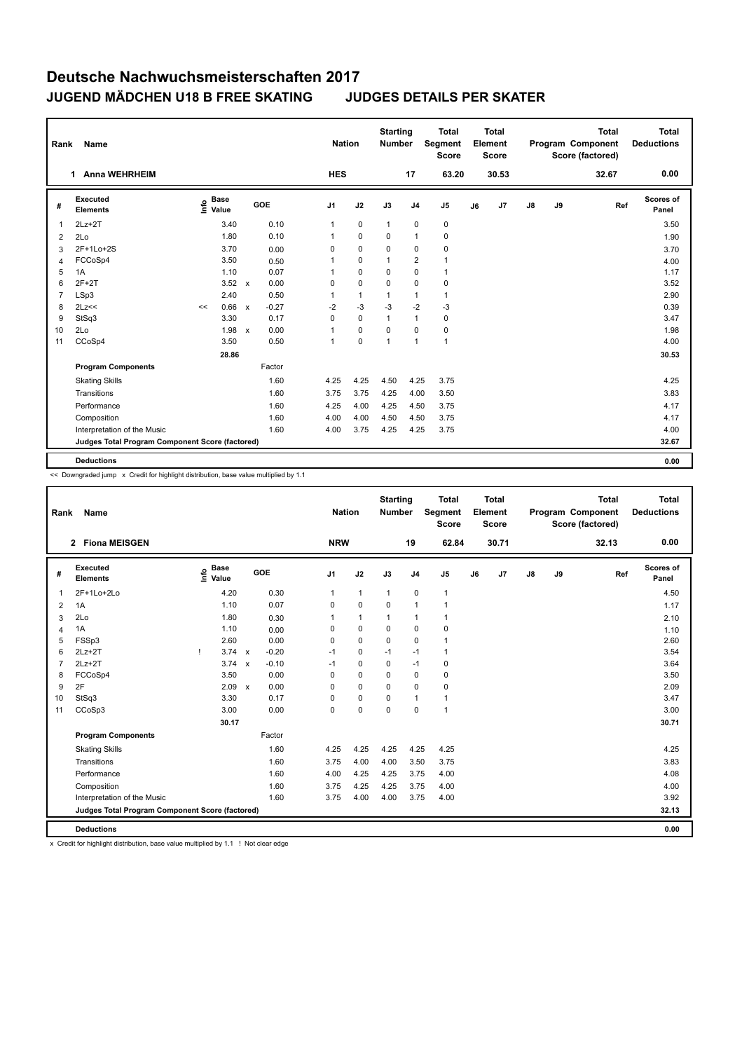| Name                        |                                                                         |       |                      |         |                                                        |                |              |                             |                | <b>Total</b><br><b>Score</b>     |                                                        | <b>Total</b> |                         |    | <b>Total</b> | <b>Total</b><br><b>Deductions</b>            |
|-----------------------------|-------------------------------------------------------------------------|-------|----------------------|---------|--------------------------------------------------------|----------------|--------------|-----------------------------|----------------|----------------------------------|--------------------------------------------------------|--------------|-------------------------|----|--------------|----------------------------------------------|
| <b>Anna WEHRHEIM</b>        |                                                                         |       |                      |         |                                                        |                |              |                             | 17             | 63.20                            |                                                        | 30.53        |                         |    | 32.67        | 0.00                                         |
| Executed<br><b>Elements</b> | ۴                                                                       |       |                      |         |                                                        | J <sub>1</sub> | J2           | J3                          | J <sub>4</sub> | J <sub>5</sub>                   | J6                                                     | J7           | $\mathsf{J}8$           | J9 |              | <b>Scores of</b><br>Panel                    |
| $2Lz+2T$                    |                                                                         | 3.40  |                      | 0.10    |                                                        | 1              | $\mathbf 0$  | $\mathbf{1}$                | $\mathbf 0$    | $\mathbf 0$                      |                                                        |              |                         |    |              | 3.50                                         |
| 2Lo                         |                                                                         | 1.80  |                      | 0.10    |                                                        | $\mathbf{1}$   | $\Omega$     | $\Omega$                    | $\mathbf{1}$   | 0                                |                                                        |              |                         |    |              | 1.90                                         |
| 2F+1Lo+2S                   |                                                                         | 3.70  |                      | 0.00    |                                                        | 0              | $\mathbf 0$  | $\mathbf 0$                 | $\mathbf 0$    | $\mathbf 0$                      |                                                        |              |                         |    |              | 3.70                                         |
| FCCoSp4                     |                                                                         | 3.50  |                      | 0.50    |                                                        | 1              | $\mathbf 0$  | 1                           | $\overline{2}$ | 1                                |                                                        |              |                         |    |              | 4.00                                         |
| 1A                          |                                                                         | 1.10  |                      | 0.07    |                                                        | 1              | $\mathbf 0$  | $\Omega$                    | $\Omega$       | $\overline{1}$                   |                                                        |              |                         |    |              | 1.17                                         |
| $2F+2T$                     |                                                                         | 3.52  | $\mathsf{x}$         | 0.00    |                                                        | 0              | $\mathbf 0$  | $\mathbf 0$                 | $\mathbf 0$    | $\pmb{0}$                        |                                                        |              |                         |    |              | 3.52                                         |
| LSp3                        |                                                                         | 2.40  |                      | 0.50    |                                                        | $\mathbf{1}$   | $\mathbf{1}$ | 1                           | $\mathbf{1}$   | $\mathbf{1}$                     |                                                        |              |                         |    |              | 2.90                                         |
|                             | <<                                                                      | 0.66  | $\mathbf{x}$         | $-0.27$ |                                                        | $-2$           | $-3$         | $-3$                        | $-2$           | $-3$                             |                                                        |              |                         |    |              | 0.39                                         |
| StSq3                       |                                                                         | 3.30  |                      | 0.17    |                                                        | $\Omega$       | $\mathbf 0$  | 1                           | $\mathbf{1}$   | 0                                |                                                        |              |                         |    |              | 3.47                                         |
| 2Lo                         |                                                                         | 1.98  | $\mathbf{x}$         | 0.00    |                                                        | 1              | $\mathbf 0$  | $\Omega$                    | $\Omega$       | $\pmb{0}$                        |                                                        |              |                         |    |              | 1.98                                         |
| CCoSp4                      |                                                                         | 3.50  |                      | 0.50    |                                                        | $\mathbf{1}$   | 0            | $\overline{1}$              | $\overline{1}$ | $\overline{1}$                   |                                                        |              |                         |    |              | 4.00                                         |
|                             |                                                                         | 28.86 |                      |         |                                                        |                |              |                             |                |                                  |                                                        |              |                         |    |              | 30.53                                        |
| <b>Program Components</b>   |                                                                         |       |                      | Factor  |                                                        |                |              |                             |                |                                  |                                                        |              |                         |    |              |                                              |
| <b>Skating Skills</b>       |                                                                         |       |                      | 1.60    |                                                        | 4.25           | 4.25         | 4.50                        |                | 3.75                             |                                                        |              |                         |    |              | 4.25                                         |
|                             |                                                                         |       |                      | 1.60    |                                                        | 3.75           | 3.75         | 4.25                        |                | 3.50                             |                                                        |              |                         |    |              | 3.83                                         |
| Performance                 |                                                                         |       |                      | 1.60    |                                                        | 4.25           | 4.00         | 4.25                        |                | 3.75                             |                                                        |              |                         |    |              | 4.17                                         |
|                             |                                                                         |       |                      | 1.60    |                                                        | 4.00           | 4.00         | 4.50                        |                | 3.75                             |                                                        |              |                         |    |              | 4.17                                         |
| Interpretation of the Music |                                                                         |       |                      | 1.60    |                                                        | 4.00           | 3.75         | 4.25                        |                | 3.75                             |                                                        |              |                         |    |              | 4.00                                         |
|                             |                                                                         |       |                      |         |                                                        |                |              |                             |                |                                  |                                                        |              |                         |    |              | 32.67                                        |
|                             |                                                                         |       |                      |         |                                                        |                |              |                             |                |                                  |                                                        |              |                         |    |              | 0.00                                         |
| Rank                        | $\mathbf 1$<br>2Lz<<<br>Transitions<br>Composition<br><b>Deductions</b> |       | <b>Base</b><br>Value |         | GOE<br>Judges Total Program Component Score (factored) |                |              | <b>Nation</b><br><b>HES</b> |                | <b>Starting</b><br><b>Number</b> | <b>Segment</b><br>4.25<br>4.00<br>4.50<br>4.50<br>4.25 |              | Element<br><b>Score</b> |    |              | Program Component<br>Score (factored)<br>Ref |

<< Downgraded jump x Credit for highlight distribution, base value multiplied by 1.1

| Rank           | Name                                            |      |                      |              |         |                | <b>Nation</b> | <b>Starting</b><br>Number |                | <b>Total</b><br>Segment<br><b>Score</b> |    | <b>Total</b><br>Element<br><b>Score</b> |               |    | <b>Total</b><br>Program Component<br>Score (factored) | Total<br><b>Deductions</b> |
|----------------|-------------------------------------------------|------|----------------------|--------------|---------|----------------|---------------|---------------------------|----------------|-----------------------------------------|----|-----------------------------------------|---------------|----|-------------------------------------------------------|----------------------------|
|                | <b>Fiona MEISGEN</b><br>$\mathbf{2}$            |      |                      |              |         | <b>NRW</b>     |               |                           | 19             | 62.84                                   |    | 30.71                                   |               |    | 32.13                                                 | 0.00                       |
| #              | Executed<br><b>Elements</b>                     | Info | <b>Base</b><br>Value |              | GOE     | J <sub>1</sub> | J2            | J3                        | J <sub>4</sub> | J <sub>5</sub>                          | J6 | J7                                      | $\mathsf{J}8$ | J9 | Ref                                                   | <b>Scores of</b><br>Panel  |
| $\mathbf{1}$   | 2F+1Lo+2Lo                                      |      | 4.20                 |              | 0.30    | $\mathbf 1$    | $\mathbf{1}$  | $\mathbf{1}$              | 0              | $\mathbf{1}$                            |    |                                         |               |    |                                                       | 4.50                       |
| 2              | 1A                                              |      | 1.10                 |              | 0.07    | $\Omega$       | $\mathbf 0$   | $\Omega$                  | $\mathbf{1}$   | $\mathbf{1}$                            |    |                                         |               |    |                                                       | 1.17                       |
| 3              | 2Lo                                             |      | 1.80                 |              | 0.30    |                | $\mathbf{1}$  | $\mathbf{1}$              | $\mathbf{1}$   | $\mathbf{1}$                            |    |                                         |               |    |                                                       | 2.10                       |
| $\overline{4}$ | 1A                                              |      | 1.10                 |              | 0.00    | 0              | $\mathbf 0$   | $\Omega$                  | $\mathbf 0$    | 0                                       |    |                                         |               |    |                                                       | 1.10                       |
| 5              | FSSp3                                           |      | 2.60                 |              | 0.00    | 0              | $\mathbf 0$   | $\mathbf 0$               | $\mathbf 0$    | $\mathbf{1}$                            |    |                                         |               |    |                                                       | 2.60                       |
| 6              | $2Lz+2T$                                        |      | $3.74 \times$        |              | $-0.20$ | $-1$           | $\mathbf 0$   | $-1$                      | $-1$           | $\mathbf{1}$                            |    |                                         |               |    |                                                       | 3.54                       |
| $\overline{7}$ | $2Lz+2T$                                        |      | 3.74                 | $\mathsf{x}$ | $-0.10$ | $-1$           | $\mathbf 0$   | $\Omega$                  | $-1$           | 0                                       |    |                                         |               |    |                                                       | 3.64                       |
| 8              | FCCoSp4                                         |      | 3.50                 |              | 0.00    | $\mathbf 0$    | $\mathbf 0$   | $\Omega$                  | $\mathbf 0$    | 0                                       |    |                                         |               |    |                                                       | 3.50                       |
| 9              | 2F                                              |      | 2.09                 | $\mathbf{x}$ | 0.00    | $\Omega$       | $\mathbf 0$   | $\mathbf 0$               | $\mathbf 0$    | 0                                       |    |                                         |               |    |                                                       | 2.09                       |
| 10             | StSq3                                           |      | 3.30                 |              | 0.17    | 0              | $\pmb{0}$     | $\Omega$                  | $\mathbf{1}$   | $\mathbf{1}$                            |    |                                         |               |    |                                                       | 3.47                       |
| 11             | CCoSp3                                          |      | 3.00                 |              | 0.00    | $\mathbf 0$    | $\mathbf 0$   | $\mathbf 0$               | $\mathbf 0$    | $\mathbf{1}$                            |    |                                         |               |    |                                                       | 3.00                       |
|                |                                                 |      | 30.17                |              |         |                |               |                           |                |                                         |    |                                         |               |    |                                                       | 30.71                      |
|                | <b>Program Components</b>                       |      |                      |              | Factor  |                |               |                           |                |                                         |    |                                         |               |    |                                                       |                            |
|                | <b>Skating Skills</b>                           |      |                      |              | 1.60    | 4.25           | 4.25          | 4.25                      | 4.25           | 4.25                                    |    |                                         |               |    |                                                       | 4.25                       |
|                | Transitions                                     |      |                      |              | 1.60    | 3.75           | 4.00          | 4.00                      | 3.50           | 3.75                                    |    |                                         |               |    |                                                       | 3.83                       |
|                | Performance                                     |      |                      |              | 1.60    | 4.00           | 4.25          | 4.25                      | 3.75           | 4.00                                    |    |                                         |               |    |                                                       | 4.08                       |
|                | Composition                                     |      |                      |              | 1.60    | 3.75           | 4.25          | 4.25                      | 3.75           | 4.00                                    |    |                                         |               |    |                                                       | 4.00                       |
|                | Interpretation of the Music                     |      |                      |              | 1.60    | 3.75           | 4.00          | 4.00                      | 3.75           | 4.00                                    |    |                                         |               |    |                                                       | 3.92                       |
|                | Judges Total Program Component Score (factored) |      |                      |              |         |                |               |                           |                |                                         |    |                                         |               |    |                                                       | 32.13                      |
|                | <b>Deductions</b>                               |      |                      |              |         |                |               |                           |                |                                         |    |                                         |               |    |                                                       | 0.00                       |

x Credit for highlight distribution, base value multiplied by 1.1 ! Not clear edge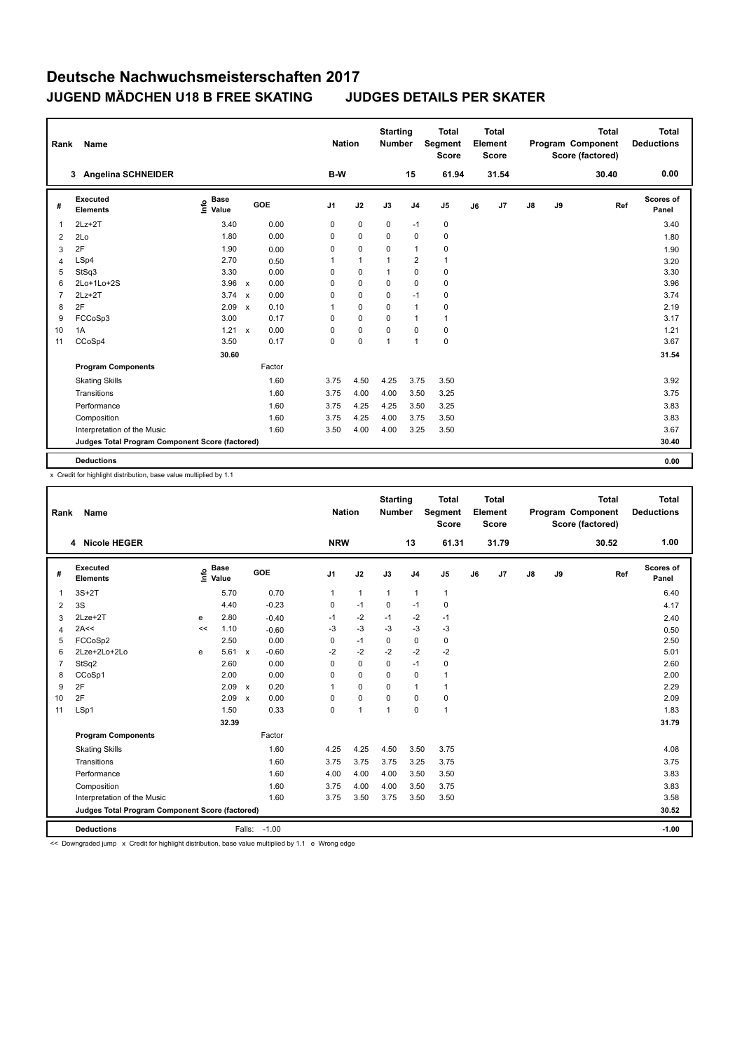| Rank           | <b>Name</b>                                     |                              |                           |        |                | <b>Nation</b> | <b>Starting</b><br><b>Number</b> |                | <b>Total</b><br>Segment<br><b>Score</b> |    | Total<br>Element<br><b>Score</b> |               |    | <b>Total</b><br>Program Component<br>Score (factored) | <b>Total</b><br><b>Deductions</b> |
|----------------|-------------------------------------------------|------------------------------|---------------------------|--------|----------------|---------------|----------------------------------|----------------|-----------------------------------------|----|----------------------------------|---------------|----|-------------------------------------------------------|-----------------------------------|
|                | <b>Angelina SCHNEIDER</b><br>3                  |                              |                           |        | B-W            |               |                                  | 15             | 61.94                                   |    | 31.54                            |               |    | 30.40                                                 | 0.00                              |
| #              | Executed<br><b>Elements</b>                     | <b>Base</b><br>lnfo<br>Value |                           | GOE    | J <sub>1</sub> | J2            | J3                               | J <sub>4</sub> | J <sub>5</sub>                          | J6 | J7                               | $\mathsf{J}8$ | J9 | Ref                                                   | Scores of<br>Panel                |
| $\overline{1}$ | $2Lz+2T$                                        | 3.40                         |                           | 0.00   | 0              | $\mathbf 0$   | $\mathbf 0$                      | $-1$           | $\mathbf 0$                             |    |                                  |               |    |                                                       | 3.40                              |
| $\overline{2}$ | 2Lo                                             | 1.80                         |                           | 0.00   | 0              | $\mathbf 0$   | 0                                | $\mathbf 0$    | $\mathbf 0$                             |    |                                  |               |    |                                                       | 1.80                              |
| 3              | 2F                                              | 1.90                         |                           | 0.00   | 0              | $\mathbf 0$   | 0                                | $\overline{1}$ | 0                                       |    |                                  |               |    |                                                       | 1.90                              |
| $\overline{4}$ | LSp4                                            | 2.70                         |                           | 0.50   | 1              | $\mathbf{1}$  | 1                                | 2              | $\mathbf{1}$                            |    |                                  |               |    |                                                       | 3.20                              |
| 5              | StSq3                                           | 3.30                         |                           | 0.00   | $\Omega$       | $\mathbf 0$   | 1                                | $\mathbf 0$    | 0                                       |    |                                  |               |    |                                                       | 3.30                              |
| 6              | 2Lo+1Lo+2S                                      | 3.96                         | $\mathsf{x}$              | 0.00   | 0              | $\mathbf 0$   | $\mathbf 0$                      | $\mathbf 0$    | $\mathbf 0$                             |    |                                  |               |    |                                                       | 3.96                              |
| $\overline{7}$ | $2Lz+2T$                                        | 3.74                         | $\boldsymbol{\mathsf{x}}$ | 0.00   | 0              | $\mathbf 0$   | $\Omega$                         | $-1$           | 0                                       |    |                                  |               |    |                                                       | 3.74                              |
| 8              | 2F                                              | 2.09                         | $\mathbf{x}$              | 0.10   | 1              | $\mathbf 0$   | 0                                | $\overline{1}$ | 0                                       |    |                                  |               |    |                                                       | 2.19                              |
| 9              | FCCoSp3                                         | 3.00                         |                           | 0.17   | 0              | $\mathbf 0$   | $\Omega$                         | $\overline{1}$ | $\mathbf{1}$                            |    |                                  |               |    |                                                       | 3.17                              |
| 10             | 1A                                              | 1.21                         | $\mathbf{x}$              | 0.00   | $\Omega$       | $\mathbf 0$   | 0                                | $\mathbf 0$    | $\pmb{0}$                               |    |                                  |               |    |                                                       | 1.21                              |
| 11             | CCoSp4                                          | 3.50                         |                           | 0.17   | 0              | $\mathbf 0$   | 1                                | $\overline{1}$ | 0                                       |    |                                  |               |    |                                                       | 3.67                              |
|                |                                                 | 30.60                        |                           |        |                |               |                                  |                |                                         |    |                                  |               |    |                                                       | 31.54                             |
|                | <b>Program Components</b>                       |                              |                           | Factor |                |               |                                  |                |                                         |    |                                  |               |    |                                                       |                                   |
|                | <b>Skating Skills</b>                           |                              |                           | 1.60   | 3.75           | 4.50          | 4.25                             | 3.75           | 3.50                                    |    |                                  |               |    |                                                       | 3.92                              |
|                | Transitions                                     |                              |                           | 1.60   | 3.75           | 4.00          | 4.00                             | 3.50           | 3.25                                    |    |                                  |               |    |                                                       | 3.75                              |
|                | Performance                                     |                              |                           | 1.60   | 3.75           | 4.25          | 4.25                             | 3.50           | 3.25                                    |    |                                  |               |    |                                                       | 3.83                              |
|                | Composition                                     |                              |                           | 1.60   | 3.75           | 4.25          | 4.00                             | 3.75           | 3.50                                    |    |                                  |               |    |                                                       | 3.83                              |
|                | Interpretation of the Music                     |                              |                           | 1.60   | 3.50           | 4.00          | 4.00                             | 3.25           | 3.50                                    |    |                                  |               |    |                                                       | 3.67                              |
|                | Judges Total Program Component Score (factored) |                              |                           |        |                |               |                                  |                |                                         |    |                                  |               |    |                                                       | 30.40                             |
|                | <b>Deductions</b>                               |                              |                           |        |                |               |                                  |                |                                         |    |                                  |               |    |                                                       | 0.00                              |

x Credit for highlight distribution, base value multiplied by 1.1

| Rank           | <b>Name</b>                                     |      |                      |                           |              |                | <b>Nation</b> | <b>Starting</b><br>Number |                | <b>Total</b><br>Segment<br><b>Score</b> |    | <b>Total</b><br><b>Element</b><br><b>Score</b> |               |    | <b>Total</b><br>Program Component<br>Score (factored) | Total<br><b>Deductions</b> |
|----------------|-------------------------------------------------|------|----------------------|---------------------------|--------------|----------------|---------------|---------------------------|----------------|-----------------------------------------|----|------------------------------------------------|---------------|----|-------------------------------------------------------|----------------------------|
|                | <b>Nicole HEGER</b><br>4                        |      |                      |                           |              | <b>NRW</b>     |               |                           | 13             | 61.31                                   |    | 31.79                                          |               |    | 30.52                                                 | 1.00                       |
| #              | Executed<br><b>Elements</b>                     | lnfo | <b>Base</b><br>Value |                           | GOE          | J <sub>1</sub> | J2            | J3                        | J <sub>4</sub> | J5                                      | J6 | J <sub>7</sub>                                 | $\mathsf{J}8$ | J9 | Ref                                                   | Scores of<br>Panel         |
| $\overline{1}$ | $3S+2T$                                         |      | 5.70                 |                           | 0.70         | $\mathbf{1}$   | $\mathbf{1}$  | $\mathbf{1}$              | $\mathbf{1}$   | $\mathbf{1}$                            |    |                                                |               |    |                                                       | 6.40                       |
| 2              | 3S                                              |      | 4.40                 |                           | $-0.23$      | 0              | $-1$          | 0                         | $-1$           | $\mathbf 0$                             |    |                                                |               |    |                                                       | 4.17                       |
| 3              | $2$ Lze $+2$ T                                  | e    | 2.80                 |                           | $-0.40$      | $-1$           | $-2$          | $-1$                      | $-2$           | $-1$                                    |    |                                                |               |    |                                                       | 2.40                       |
| 4              | 2A<<                                            | <<   | 1.10                 |                           | $-0.60$      | $-3$           | $-3$          | $-3$                      | $-3$           | $-3$                                    |    |                                                |               |    |                                                       | 0.50                       |
| 5              | FCCoSp2                                         |      | 2.50                 |                           | 0.00         | 0              | $-1$          | $\mathbf 0$               | $\mathbf 0$    | 0                                       |    |                                                |               |    |                                                       | 2.50                       |
| 6              | 2Lze+2Lo+2Lo                                    | e    | 5.61                 | $\mathsf{x}$              | $-0.60$      | $-2$           | $-2$          | $-2$                      | $-2$           | $-2$                                    |    |                                                |               |    |                                                       | 5.01                       |
| $\overline{7}$ | StSq2                                           |      | 2.60                 |                           | 0.00         | $\Omega$       | $\mathbf 0$   | 0                         | $-1$           | 0                                       |    |                                                |               |    |                                                       | 2.60                       |
| 8              | CCoSp1                                          |      | 2.00                 |                           | 0.00         | $\Omega$       | $\Omega$      | $\Omega$                  | $\mathbf 0$    | 1                                       |    |                                                |               |    |                                                       | 2.00                       |
| 9              | 2F                                              |      | 2.09                 | $\boldsymbol{\mathsf{x}}$ | 0.20         | $\overline{1}$ | $\mathbf 0$   | $\Omega$                  | $\mathbf{1}$   | 1                                       |    |                                                |               |    |                                                       | 2.29                       |
| 10             | 2F                                              |      | 2.09                 | $\boldsymbol{\mathsf{x}}$ | 0.00         | $\Omega$       | $\mathbf 0$   | $\Omega$                  | 0              | 0                                       |    |                                                |               |    |                                                       | 2.09                       |
| 11             | LSp1                                            |      | 1.50                 |                           | 0.33         | 0              | $\mathbf{1}$  | $\mathbf{1}$              | $\mathbf 0$    | $\mathbf{1}$                            |    |                                                |               |    |                                                       | 1.83                       |
|                |                                                 |      | 32.39                |                           |              |                |               |                           |                |                                         |    |                                                |               |    |                                                       | 31.79                      |
|                | <b>Program Components</b>                       |      |                      |                           | Factor       |                |               |                           |                |                                         |    |                                                |               |    |                                                       |                            |
|                | <b>Skating Skills</b>                           |      |                      |                           | 1.60         | 4.25           | 4.25          | 4.50                      | 3.50           | 3.75                                    |    |                                                |               |    |                                                       | 4.08                       |
|                | Transitions                                     |      |                      |                           | 1.60         | 3.75           | 3.75          | 3.75                      | 3.25           | 3.75                                    |    |                                                |               |    |                                                       | 3.75                       |
|                | Performance                                     |      |                      |                           | 1.60         | 4.00           | 4.00          | 4.00                      | 3.50           | 3.50                                    |    |                                                |               |    |                                                       | 3.83                       |
|                | Composition                                     |      |                      |                           | 1.60         | 3.75           | 4.00          | 4.00                      | 3.50           | 3.75                                    |    |                                                |               |    |                                                       | 3.83                       |
|                | Interpretation of the Music                     |      |                      |                           | 1.60         | 3.75           | 3.50          | 3.75                      | 3.50           | 3.50                                    |    |                                                |               |    |                                                       | 3.58                       |
|                | Judges Total Program Component Score (factored) |      |                      |                           |              |                |               |                           |                |                                         |    |                                                |               |    |                                                       | 30.52                      |
|                | <b>Deductions</b>                               |      |                      |                           | Falls: -1.00 |                |               |                           |                |                                         |    |                                                |               |    |                                                       | $-1.00$                    |

<< Downgraded jump x Credit for highlight distribution, base value multiplied by 1.1 e Wrong edge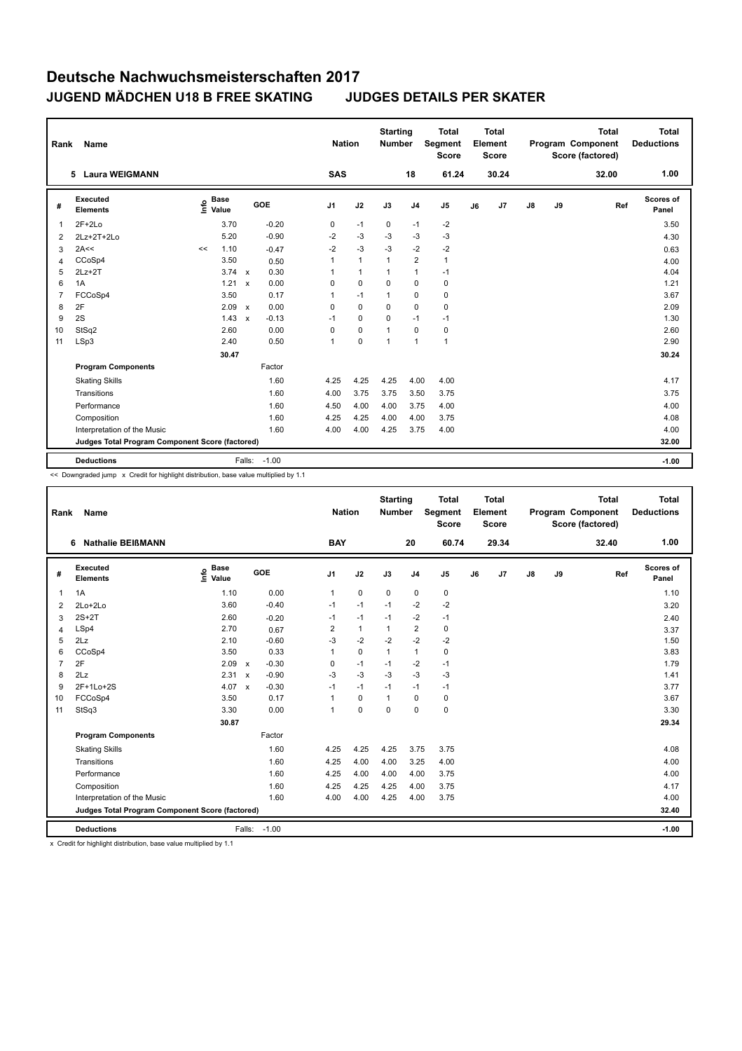| Rank           | Name                                            |      |                      |                           |            |                | <b>Nation</b> |                | <b>Starting</b><br>Number |                | <b>Total</b><br>Segment<br><b>Score</b> |    | <b>Total</b><br>Element<br><b>Score</b> |               |    | <b>Total</b><br>Program Component<br>Score (factored) | Total<br><b>Deductions</b> |
|----------------|-------------------------------------------------|------|----------------------|---------------------------|------------|----------------|---------------|----------------|---------------------------|----------------|-----------------------------------------|----|-----------------------------------------|---------------|----|-------------------------------------------------------|----------------------------|
|                | <b>Laura WEIGMANN</b><br>5                      |      |                      |                           |            |                | <b>SAS</b>    |                |                           | 18             | 61.24                                   |    | 30.24                                   |               |    | 32.00                                                 | 1.00                       |
| #              | Executed<br><b>Elements</b>                     | ١nf٥ | <b>Base</b><br>Value |                           | <b>GOE</b> | J <sub>1</sub> |               | J2             | J3                        | J <sub>4</sub> | J <sub>5</sub>                          | J6 | J7                                      | $\mathsf{J}8$ | J9 | Ref                                                   | <b>Scores of</b><br>Panel  |
| 1              | $2F+2Lo$                                        |      | 3.70                 |                           | $-0.20$    | 0              |               | $-1$           | 0                         | $-1$           | $-2$                                    |    |                                         |               |    |                                                       | 3.50                       |
| 2              | $2Lz+2T+2Lo$                                    |      | 5.20                 |                           | $-0.90$    | $-2$           |               | $-3$           | -3                        | -3             | $-3$                                    |    |                                         |               |    |                                                       | 4.30                       |
| 3              | 2A<<                                            | <<   | 1.10                 |                           | $-0.47$    | $-2$           |               | $-3$           | $-3$                      | $-2$           | $-2$                                    |    |                                         |               |    |                                                       | 0.63                       |
| $\overline{4}$ | CCoSp4                                          |      | 3.50                 |                           | 0.50       | $\mathbf{1}$   |               | $\overline{1}$ | $\mathbf{1}$              | 2              | $\mathbf{1}$                            |    |                                         |               |    |                                                       | 4.00                       |
| 5              | $2Lz + 2T$                                      |      | $3.74 \times$        |                           | 0.30       | 1              |               | $\mathbf{1}$   | $\overline{1}$            | $\mathbf{1}$   | $-1$                                    |    |                                         |               |    |                                                       | 4.04                       |
| 6              | 1A                                              |      | 1.21                 | $\mathbf{x}$              | 0.00       | 0              |               | $\mathbf 0$    | $\Omega$                  | $\mathbf 0$    | 0                                       |    |                                         |               |    |                                                       | 1.21                       |
| $\overline{7}$ | FCCoSp4                                         |      | 3.50                 |                           | 0.17       | 1              |               | $-1$           | $\overline{1}$            | $\mathbf 0$    | 0                                       |    |                                         |               |    |                                                       | 3.67                       |
| 8              | 2F                                              |      | 2.09                 | $\mathsf{x}$              | 0.00       | 0              |               | 0              | 0                         | 0              | 0                                       |    |                                         |               |    |                                                       | 2.09                       |
| 9              | 2S                                              |      | 1.43                 | $\boldsymbol{\mathsf{x}}$ | $-0.13$    | $-1$           |               | $\mathbf 0$    | 0                         | $-1$           | $-1$                                    |    |                                         |               |    |                                                       | 1.30                       |
| 10             | StSq2                                           |      | 2.60                 |                           | 0.00       | 0              |               | $\mathbf 0$    | $\overline{1}$            | $\mathbf 0$    | 0                                       |    |                                         |               |    |                                                       | 2.60                       |
| 11             | LSp3                                            |      | 2.40                 |                           | 0.50       | $\mathbf{1}$   |               | $\mathbf 0$    | $\overline{1}$            | $\overline{1}$ | $\mathbf{1}$                            |    |                                         |               |    |                                                       | 2.90                       |
|                |                                                 |      | 30.47                |                           |            |                |               |                |                           |                |                                         |    |                                         |               |    |                                                       | 30.24                      |
|                | <b>Program Components</b>                       |      |                      |                           | Factor     |                |               |                |                           |                |                                         |    |                                         |               |    |                                                       |                            |
|                | <b>Skating Skills</b>                           |      |                      |                           | 1.60       | 4.25           |               | 4.25           | 4.25                      | 4.00           | 4.00                                    |    |                                         |               |    |                                                       | 4.17                       |
|                | Transitions                                     |      |                      |                           | 1.60       | 4.00           |               | 3.75           | 3.75                      | 3.50           | 3.75                                    |    |                                         |               |    |                                                       | 3.75                       |
|                | Performance                                     |      |                      |                           | 1.60       | 4.50           |               | 4.00           | 4.00                      | 3.75           | 4.00                                    |    |                                         |               |    |                                                       | 4.00                       |
|                | Composition                                     |      |                      |                           | 1.60       | 4.25           |               | 4.25           | 4.00                      | 4.00           | 3.75                                    |    |                                         |               |    |                                                       | 4.08                       |
|                | Interpretation of the Music                     |      |                      |                           | 1.60       | 4.00           |               | 4.00           | 4.25                      | 3.75           | 4.00                                    |    |                                         |               |    |                                                       | 4.00                       |
|                | Judges Total Program Component Score (factored) |      |                      |                           |            |                |               |                |                           |                |                                         |    |                                         |               |    |                                                       | 32.00                      |
|                | <b>Deductions</b>                               |      |                      | Falls:                    | $-1.00$    |                |               |                |                           |                |                                         |    |                                         |               |    |                                                       | $-1.00$                    |

<< Downgraded jump x Credit for highlight distribution, base value multiplied by 1.1

| Rank           | Name                                            |                              |              |         | <b>Nation</b>  |              | <b>Starting</b><br><b>Number</b> |                | <b>Total</b><br><b>Segment</b><br><b>Score</b> |    | <b>Total</b><br>Element<br><b>Score</b> |               |    | <b>Total</b><br>Program Component<br>Score (factored) | <b>Total</b><br><b>Deductions</b> |
|----------------|-------------------------------------------------|------------------------------|--------------|---------|----------------|--------------|----------------------------------|----------------|------------------------------------------------|----|-----------------------------------------|---------------|----|-------------------------------------------------------|-----------------------------------|
|                | 6 Nathalie BEIßMANN                             |                              |              |         | <b>BAY</b>     |              |                                  | 20             | 60.74                                          |    | 29.34                                   |               |    | 32.40                                                 | 1.00                              |
| #              | Executed<br><b>Elements</b>                     | <b>Base</b><br>١nf٥<br>Value |              | GOE     | J1             | J2           | J3                               | J <sub>4</sub> | J <sub>5</sub>                                 | J6 | J7                                      | $\mathsf{J}8$ | J9 | Ref                                                   | Scores of<br>Panel                |
| $\mathbf{1}$   | 1A                                              | 1.10                         |              | 0.00    | $\mathbf{1}$   | $\mathbf 0$  | $\mathbf 0$                      | $\pmb{0}$      | $\mathbf 0$                                    |    |                                         |               |    |                                                       | 1.10                              |
| 2              | $2Lo+2Lo$                                       | 3.60                         |              | $-0.40$ | $-1$           | $-1$         | $-1$                             | $-2$           | $-2$                                           |    |                                         |               |    |                                                       | 3.20                              |
| 3              | $2S+2T$                                         | 2.60                         |              | $-0.20$ | $-1$           | $-1$         | $-1$                             | $-2$           | $-1$                                           |    |                                         |               |    |                                                       | 2.40                              |
| 4              | LSp4                                            | 2.70                         |              | 0.67    | 2              | $\mathbf{1}$ | $\mathbf{1}$                     | $\overline{2}$ | $\mathbf 0$                                    |    |                                         |               |    |                                                       | 3.37                              |
| 5              | 2Lz                                             | 2.10                         |              | $-0.60$ | $-3$           | $-2$         | $-2$                             | $-2$           | $-2$                                           |    |                                         |               |    |                                                       | 1.50                              |
| 6              | CCoSp4                                          | 3.50                         |              | 0.33    | $\overline{1}$ | $\Omega$     | $\mathbf{1}$                     | $\mathbf{1}$   | $\mathbf 0$                                    |    |                                         |               |    |                                                       | 3.83                              |
| $\overline{7}$ | 2F                                              | 2.09                         | $\mathbf{x}$ | $-0.30$ | 0              | $-1$         | $-1$                             | $-2$           | $-1$                                           |    |                                         |               |    |                                                       | 1.79                              |
| 8              | 2Lz                                             | 2.31                         | $\mathbf{x}$ | $-0.90$ | $-3$           | $-3$         | $-3$                             | $-3$           | $-3$                                           |    |                                         |               |    |                                                       | 1.41                              |
| 9              | $2F+1Lo+2S$                                     | 4.07                         | $\mathbf{x}$ | $-0.30$ | $-1$           | $-1$         | $-1$                             | $-1$           | $-1$                                           |    |                                         |               |    |                                                       | 3.77                              |
| 10             | FCCoSp4                                         | 3.50                         |              | 0.17    | 1              | $\Omega$     | $\mathbf{1}$                     | $\Omega$       | $\mathbf 0$                                    |    |                                         |               |    |                                                       | 3.67                              |
| 11             | StSq3                                           | 3.30                         |              | 0.00    | $\overline{1}$ | $\mathbf 0$  | $\Omega$                         | $\mathbf 0$    | $\mathbf 0$                                    |    |                                         |               |    |                                                       | 3.30                              |
|                |                                                 | 30.87                        |              |         |                |              |                                  |                |                                                |    |                                         |               |    |                                                       | 29.34                             |
|                | <b>Program Components</b>                       |                              |              | Factor  |                |              |                                  |                |                                                |    |                                         |               |    |                                                       |                                   |
|                | <b>Skating Skills</b>                           |                              |              | 1.60    | 4.25           | 4.25         | 4.25                             | 3.75           | 3.75                                           |    |                                         |               |    |                                                       | 4.08                              |
|                | Transitions                                     |                              |              | 1.60    | 4.25           | 4.00         | 4.00                             | 3.25           | 4.00                                           |    |                                         |               |    |                                                       | 4.00                              |
|                | Performance                                     |                              |              | 1.60    | 4.25           | 4.00         | 4.00                             | 4.00           | 3.75                                           |    |                                         |               |    |                                                       | 4.00                              |
|                | Composition                                     |                              |              | 1.60    | 4.25           | 4.25         | 4.25                             | 4.00           | 3.75                                           |    |                                         |               |    |                                                       | 4.17                              |
|                | Interpretation of the Music                     |                              |              | 1.60    | 4.00           | 4.00         | 4.25                             | 4.00           | 3.75                                           |    |                                         |               |    |                                                       | 4.00                              |
|                | Judges Total Program Component Score (factored) |                              |              |         |                |              |                                  |                |                                                |    |                                         |               |    |                                                       | 32.40                             |
|                | <b>Deductions</b>                               |                              | Falls:       | $-1.00$ |                |              |                                  |                |                                                |    |                                         |               |    |                                                       | $-1.00$                           |

x Credit for highlight distribution, base value multiplied by 1.1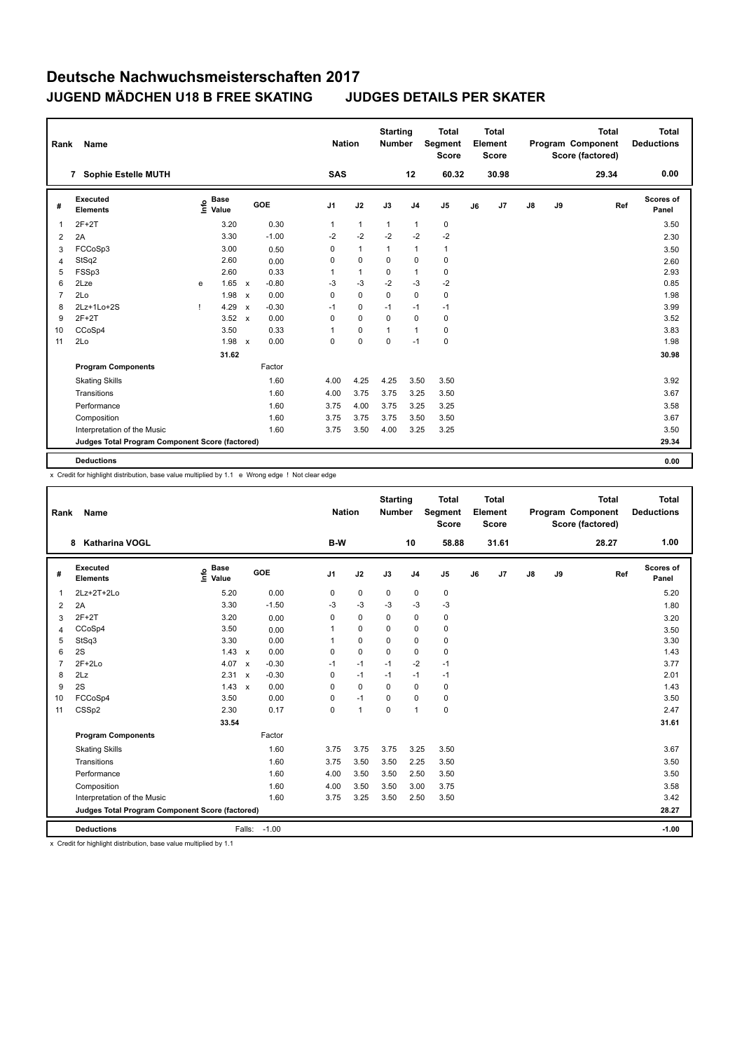| Name<br>Rank                |                                  |             |                           |                                   |                                                        |              |                                                                |                             |                | <b>Total</b><br><b>Score</b>     |                                                 | <b>Total</b> |                  |    | <b>Total</b> | <b>Total</b><br><b>Deductions</b>     |
|-----------------------------|----------------------------------|-------------|---------------------------|-----------------------------------|--------------------------------------------------------|--------------|----------------------------------------------------------------|-----------------------------|----------------|----------------------------------|-------------------------------------------------|--------------|------------------|----|--------------|---------------------------------------|
| 7 Sophie Estelle MUTH       |                                  |             |                           |                                   |                                                        |              |                                                                |                             | 12             | 60.32                            |                                                 | 30.98        |                  |    | 29.34        | 0.00                                  |
| Executed<br><b>Elements</b> | ۴ê                               | <b>Base</b> |                           |                                   |                                                        |              | J2                                                             | J3                          | J <sub>4</sub> | J <sub>5</sub>                   | J6                                              | J7           | J8               | J9 | Ref          | Scores of<br>Panel                    |
| $2F+2T$                     |                                  | 3.20        |                           | 0.30                              |                                                        | $\mathbf{1}$ | $\mathbf{1}$                                                   | $\mathbf{1}$                | $\mathbf{1}$   | $\pmb{0}$                        |                                                 |              |                  |    |              | 3.50                                  |
| 2A                          |                                  | 3.30        |                           | $-1.00$                           |                                                        | $-2$         | $-2$                                                           | $-2$                        | $-2$           | $-2$                             |                                                 |              |                  |    |              | 2.30                                  |
| FCCoSp3                     |                                  | 3.00        |                           | 0.50                              |                                                        | 0            | $\mathbf{1}$                                                   | 1                           | $\mathbf{1}$   | $\mathbf{1}$                     |                                                 |              |                  |    |              | 3.50                                  |
| StSq2                       |                                  | 2.60        |                           | 0.00                              |                                                        | 0            | $\mathbf 0$                                                    | 0                           | 0              | 0                                |                                                 |              |                  |    |              | 2.60                                  |
| FSSp3                       |                                  | 2.60        |                           | 0.33                              |                                                        | 1            | $\mathbf{1}$                                                   | $\Omega$                    | $\mathbf{1}$   | $\pmb{0}$                        |                                                 |              |                  |    |              | 2.93                                  |
| 2Lze                        | e                                | 1.65        | $\mathbf{x}$              | $-0.80$                           |                                                        | $-3$         | $-3$                                                           | $-2$                        | $-3$           | $-2$                             |                                                 |              |                  |    |              | 0.85                                  |
| 2Lo                         |                                  |             | $\mathsf{x}$              | 0.00                              |                                                        | 0            | $\mathbf 0$                                                    | $\Omega$                    | $\mathbf 0$    | $\mathbf 0$                      |                                                 |              |                  |    |              | 1.98                                  |
| 2Lz+1Lo+2S                  |                                  | 4.29        | $\boldsymbol{\mathsf{x}}$ | $-0.30$                           |                                                        |              | 0                                                              | $-1$                        | $-1$           | $-1$                             |                                                 |              |                  |    |              | 3.99                                  |
| $2F+2T$                     |                                  |             | $\mathbf{x}$              | 0.00                              |                                                        | 0            | $\Omega$                                                       | $\Omega$                    | $\Omega$       | $\mathbf 0$                      |                                                 |              |                  |    |              | 3.52                                  |
| CCoSp4                      |                                  | 3.50        |                           | 0.33                              |                                                        | $\mathbf{1}$ | 0                                                              | 1                           | $\mathbf{1}$   | 0                                |                                                 |              |                  |    |              | 3.83                                  |
| 2Lo                         |                                  |             |                           | 0.00                              |                                                        | 0            | 0                                                              | $\mathbf 0$                 | $-1$           | $\pmb{0}$                        |                                                 |              |                  |    |              | 1.98                                  |
|                             |                                  |             |                           |                                   |                                                        |              |                                                                |                             |                |                                  |                                                 |              |                  |    |              | 30.98                                 |
| <b>Program Components</b>   |                                  |             |                           | Factor                            |                                                        |              |                                                                |                             |                |                                  |                                                 |              |                  |    |              |                                       |
| <b>Skating Skills</b>       |                                  |             |                           | 1.60                              |                                                        |              | 4.25                                                           | 4.25                        |                | 3.50                             |                                                 |              |                  |    |              | 3.92                                  |
| Transitions                 |                                  |             |                           | 1.60                              |                                                        |              | 3.75                                                           | 3.75                        |                | 3.50                             |                                                 |              |                  |    |              | 3.67                                  |
| Performance                 |                                  |             |                           | 1.60                              |                                                        |              | 4.00                                                           | 3.75                        |                | 3.25                             |                                                 |              |                  |    |              | 3.58                                  |
|                             |                                  |             |                           | 1.60                              |                                                        |              | 3.75                                                           | 3.75                        |                | 3.50                             |                                                 |              |                  |    |              | 3.67                                  |
| Interpretation of the Music |                                  |             |                           | 1.60                              |                                                        |              | 3.50                                                           | 4.00                        |                | 3.25                             |                                                 |              |                  |    |              | 3.50                                  |
|                             |                                  |             |                           |                                   |                                                        |              |                                                                |                             |                |                                  |                                                 |              |                  |    |              | 29.34                                 |
|                             |                                  |             |                           |                                   |                                                        |              |                                                                |                             |                |                                  |                                                 |              |                  |    |              | 0.00                                  |
|                             | Composition<br><b>Deductions</b> |             | Value                     | 1.98<br>3.52<br>1.98 $x$<br>31.62 | GOE<br>Judges Total Program Component Score (factored) |              | J <sub>1</sub><br>$-1$<br>4.00<br>4.00<br>3.75<br>3.75<br>3.75 | <b>Nation</b><br><b>SAS</b> |                | <b>Starting</b><br><b>Number</b> | Segment<br>3.50<br>3.25<br>3.25<br>3.50<br>3.25 |              | Element<br>Score |    |              | Program Component<br>Score (factored) |

L

x Credit for highlight distribution, base value multiplied by 1.1 e Wrong edge ! Not clear edge

| Rank           | Name                                            |                              |              |         |                | <b>Nation</b> | <b>Starting</b><br><b>Number</b> |                | <b>Total</b><br>Segment<br>Score |    | Total<br>Element<br><b>Score</b> |               |    | <b>Total</b><br>Program Component<br>Score (factored) | Total<br><b>Deductions</b> |
|----------------|-------------------------------------------------|------------------------------|--------------|---------|----------------|---------------|----------------------------------|----------------|----------------------------------|----|----------------------------------|---------------|----|-------------------------------------------------------|----------------------------|
|                | Katharina VOGL<br>8                             |                              |              |         | B-W            |               |                                  | 10             | 58.88                            |    | 31.61                            |               |    | 28.27                                                 | 1.00                       |
| #              | <b>Executed</b><br><b>Elements</b>              | <b>Base</b><br>١nf٥<br>Value |              | GOE     | J <sub>1</sub> | J2            | J3                               | J <sub>4</sub> | J <sub>5</sub>                   | J6 | J <sub>7</sub>                   | $\mathsf{J}8$ | J9 | Ref                                                   | Scores of<br>Panel         |
| 1              | 2Lz+2T+2Lo                                      | 5.20                         |              | 0.00    | 0              | $\mathbf 0$   | $\mathbf 0$                      | $\mathbf 0$    | $\pmb{0}$                        |    |                                  |               |    |                                                       | 5.20                       |
| 2              | 2A                                              | 3.30                         |              | $-1.50$ | $-3$           | $-3$          | $-3$                             | $-3$           | $-3$                             |    |                                  |               |    |                                                       | 1.80                       |
| 3              | $2F+2T$                                         | 3.20                         |              | 0.00    | 0              | $\mathbf 0$   | $\mathbf 0$                      | $\mathbf 0$    | $\pmb{0}$                        |    |                                  |               |    |                                                       | 3.20                       |
| $\overline{4}$ | CCoSp4                                          | 3.50                         |              | 0.00    | $\mathbf{1}$   | $\Omega$      | $\Omega$                         | $\Omega$       | $\mathbf 0$                      |    |                                  |               |    |                                                       | 3.50                       |
| 5              | StSq3                                           | 3.30                         |              | 0.00    | 1              | $\mathbf 0$   | $\Omega$                         | $\Omega$       | $\pmb{0}$                        |    |                                  |               |    |                                                       | 3.30                       |
| 6              | 2S                                              | $1.43 \times$                |              | 0.00    | 0              | $\Omega$      | $\Omega$                         | $\Omega$       | $\pmb{0}$                        |    |                                  |               |    |                                                       | 1.43                       |
| $\overline{7}$ | $2F+2Lo$                                        | 4.07                         | $\mathbf{x}$ | $-0.30$ | $-1$           | $-1$          | $-1$                             | $-2$           | $-1$                             |    |                                  |               |    |                                                       | 3.77                       |
| 8              | 2Lz                                             | 2.31                         | $\mathsf{x}$ | $-0.30$ | 0              | $-1$          | $-1$                             | $-1$           | $-1$                             |    |                                  |               |    |                                                       | 2.01                       |
| 9              | 2S                                              | 1.43                         | $\mathbf{x}$ | 0.00    | 0              | $\Omega$      | $\Omega$                         | $\Omega$       | 0                                |    |                                  |               |    |                                                       | 1.43                       |
| 10             | FCCoSp4                                         | 3.50                         |              | 0.00    | 0              | $-1$          | $\Omega$                         | $\Omega$       | 0                                |    |                                  |               |    |                                                       | 3.50                       |
| 11             | CSS <sub>p2</sub>                               | 2.30                         |              | 0.17    | 0              | $\mathbf{1}$  | $\mathbf 0$                      | $\overline{1}$ | $\mathbf 0$                      |    |                                  |               |    |                                                       | 2.47                       |
|                |                                                 | 33.54                        |              |         |                |               |                                  |                |                                  |    |                                  |               |    |                                                       | 31.61                      |
|                | <b>Program Components</b>                       |                              |              | Factor  |                |               |                                  |                |                                  |    |                                  |               |    |                                                       |                            |
|                | <b>Skating Skills</b>                           |                              |              | 1.60    | 3.75           | 3.75          | 3.75                             | 3.25           | 3.50                             |    |                                  |               |    |                                                       | 3.67                       |
|                | Transitions                                     |                              |              | 1.60    | 3.75           | 3.50          | 3.50                             | 2.25           | 3.50                             |    |                                  |               |    |                                                       | 3.50                       |
|                | Performance                                     |                              |              | 1.60    | 4.00           | 3.50          | 3.50                             | 2.50           | 3.50                             |    |                                  |               |    |                                                       | 3.50                       |
|                | Composition                                     |                              |              | 1.60    | 4.00           | 3.50          | 3.50                             | 3.00           | 3.75                             |    |                                  |               |    |                                                       | 3.58                       |
|                | Interpretation of the Music                     |                              |              | 1.60    | 3.75           | 3.25          | 3.50                             | 2.50           | 3.50                             |    |                                  |               |    |                                                       | 3.42                       |
|                | Judges Total Program Component Score (factored) |                              |              |         |                |               |                                  |                |                                  |    |                                  |               |    |                                                       | 28.27                      |
|                | <b>Deductions</b>                               |                              | Falls:       | $-1.00$ |                |               |                                  |                |                                  |    |                                  |               |    |                                                       | $-1.00$                    |

x Credit for highlight distribution, base value multiplied by 1.1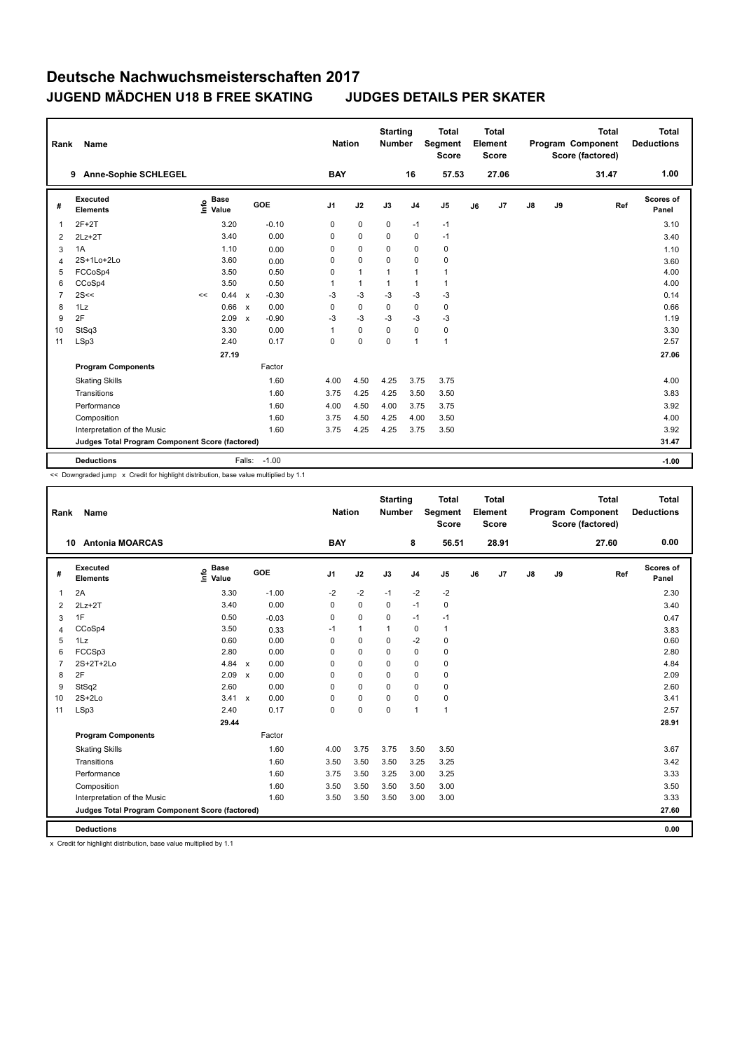| Rank           | <b>Name</b>                                     |                              |                           |         |                | <b>Nation</b> |              | <b>Starting</b><br><b>Number</b> |                | <b>Total</b><br>Segment<br><b>Score</b> |    | Total<br>Element<br><b>Score</b> |               |    | <b>Total</b><br>Program Component<br>Score (factored) | Total<br><b>Deductions</b> |
|----------------|-------------------------------------------------|------------------------------|---------------------------|---------|----------------|---------------|--------------|----------------------------------|----------------|-----------------------------------------|----|----------------------------------|---------------|----|-------------------------------------------------------|----------------------------|
|                | <b>Anne-Sophie SCHLEGEL</b><br>9                |                              |                           |         |                | <b>BAY</b>    |              |                                  | 16             | 57.53                                   |    | 27.06                            |               |    | 31.47                                                 | 1.00                       |
| #              | Executed<br><b>Elements</b>                     | <b>Base</b><br>١nf٥<br>Value |                           | GOE     | J <sub>1</sub> |               | J2           | J3                               | J <sub>4</sub> | J <sub>5</sub>                          | J6 | J7                               | $\mathsf{J}8$ | J9 | Ref                                                   | <b>Scores of</b><br>Panel  |
| 1              | $2F+2T$                                         | 3.20                         |                           | $-0.10$ | 0              |               | $\pmb{0}$    | $\mathbf 0$                      | $-1$           | $-1$                                    |    |                                  |               |    |                                                       | 3.10                       |
| 2              | $2Lz+2T$                                        | 3.40                         |                           | 0.00    | 0              |               | $\mathbf 0$  | $\Omega$                         | $\mathbf 0$    | $-1$                                    |    |                                  |               |    |                                                       | 3.40                       |
| 3              | 1A                                              | 1.10                         |                           | 0.00    | 0              |               | 0            | $\Omega$                         | $\mathbf 0$    | 0                                       |    |                                  |               |    |                                                       | 1.10                       |
| 4              | 2S+1Lo+2Lo                                      | 3.60                         |                           | 0.00    | 0              |               | $\mathbf 0$  | 0                                | 0              | 0                                       |    |                                  |               |    |                                                       | 3.60                       |
| 5              | FCCoSp4                                         | 3.50                         |                           | 0.50    | 0              |               | $\mathbf{1}$ | 1                                | $\overline{1}$ | $\mathbf{1}$                            |    |                                  |               |    |                                                       | 4.00                       |
| 6              | CCoSp4                                          | 3.50                         |                           | 0.50    | 1              |               | $\mathbf{1}$ | 1                                | $\mathbf{1}$   | $\mathbf{1}$                            |    |                                  |               |    |                                                       | 4.00                       |
| $\overline{7}$ | 2S<<                                            | 0.44<br><<                   | $\mathsf{x}$              | $-0.30$ | -3             |               | $-3$         | $-3$                             | $-3$           | $-3$                                    |    |                                  |               |    |                                                       | 0.14                       |
| 8              | 1Lz                                             | 0.66                         | $\mathsf{x}$              | 0.00    | 0              |               | 0            | 0                                | $\mathbf 0$    | 0                                       |    |                                  |               |    |                                                       | 0.66                       |
| 9              | 2F                                              | 2.09                         | $\boldsymbol{\mathsf{x}}$ | $-0.90$ | $-3$           |               | $-3$         | -3                               | -3             | -3                                      |    |                                  |               |    |                                                       | 1.19                       |
| 10             | StSq3                                           | 3.30                         |                           | 0.00    | $\overline{1}$ |               | 0            | $\mathbf 0$                      | $\mathbf 0$    | $\pmb{0}$                               |    |                                  |               |    |                                                       | 3.30                       |
| 11             | LSp3                                            | 2.40                         |                           | 0.17    | 0              |               | $\mathbf 0$  | 0                                | $\overline{1}$ | $\mathbf{1}$                            |    |                                  |               |    |                                                       | 2.57                       |
|                |                                                 | 27.19                        |                           |         |                |               |              |                                  |                |                                         |    |                                  |               |    |                                                       | 27.06                      |
|                | <b>Program Components</b>                       |                              |                           | Factor  |                |               |              |                                  |                |                                         |    |                                  |               |    |                                                       |                            |
|                | <b>Skating Skills</b>                           |                              |                           | 1.60    | 4.00           |               | 4.50         | 4.25                             | 3.75           | 3.75                                    |    |                                  |               |    |                                                       | 4.00                       |
|                | Transitions                                     |                              |                           | 1.60    | 3.75           |               | 4.25         | 4.25                             | 3.50           | 3.50                                    |    |                                  |               |    |                                                       | 3.83                       |
|                | Performance                                     |                              |                           | 1.60    | 4.00           |               | 4.50         | 4.00                             | 3.75           | 3.75                                    |    |                                  |               |    |                                                       | 3.92                       |
|                | Composition                                     |                              |                           | 1.60    | 3.75           |               | 4.50         | 4.25                             | 4.00           | 3.50                                    |    |                                  |               |    |                                                       | 4.00                       |
|                | Interpretation of the Music                     |                              |                           | 1.60    | 3.75           |               | 4.25         | 4.25                             | 3.75           | 3.50                                    |    |                                  |               |    |                                                       | 3.92                       |
|                | Judges Total Program Component Score (factored) |                              |                           |         |                |               |              |                                  |                |                                         |    |                                  |               |    |                                                       | 31.47                      |
|                | <b>Deductions</b>                               |                              | Falls:                    | $-1.00$ |                |               |              |                                  |                |                                         |    |                                  |               |    |                                                       | $-1.00$                    |

<< Downgraded jump x Credit for highlight distribution, base value multiplied by 1.1

| Rank           | Name                                            |                              |                      |                | <b>Nation</b>  | <b>Starting</b><br>Number |                | <b>Total</b><br>Segment<br><b>Score</b> |    | <b>Total</b><br>Element<br><b>Score</b> |               |    | <b>Total</b><br>Program Component<br>Score (factored) | <b>Total</b><br><b>Deductions</b> |
|----------------|-------------------------------------------------|------------------------------|----------------------|----------------|----------------|---------------------------|----------------|-----------------------------------------|----|-----------------------------------------|---------------|----|-------------------------------------------------------|-----------------------------------|
| 10             | <b>Antonia MOARCAS</b>                          |                              |                      | <b>BAY</b>     |                |                           | 8              | 56.51                                   |    | 28.91                                   |               |    | 27.60                                                 | 0.00                              |
| #              | <b>Executed</b><br><b>Elements</b>              | <b>Base</b><br>١nf٥<br>Value | GOE                  | J <sub>1</sub> | J2             | J3                        | J <sub>4</sub> | J <sub>5</sub>                          | J6 | J7                                      | $\mathsf{J}8$ | J9 | Ref                                                   | Scores of<br>Panel                |
| 1              | 2A                                              | 3.30                         | $-1.00$              | $-2$           | $-2$           | $-1$                      | $-2$           | $-2$                                    |    |                                         |               |    |                                                       | 2.30                              |
| 2              | $2Lz+2T$                                        | 3.40                         | 0.00                 | 0              | $\mathbf 0$    | 0                         | $-1$           | $\mathbf 0$                             |    |                                         |               |    |                                                       | 3.40                              |
| 3              | 1F                                              | 0.50                         | $-0.03$              | 0              | $\mathbf 0$    | $\Omega$                  | $-1$           | $-1$                                    |    |                                         |               |    |                                                       | 0.47                              |
| 4              | CCoSp4                                          | 3.50                         | 0.33                 | $-1$           | $\overline{1}$ | $\overline{1}$            | $\mathbf 0$    | $\mathbf{1}$                            |    |                                         |               |    |                                                       | 3.83                              |
| 5              | 1Lz                                             | 0.60                         | 0.00                 | $\Omega$       | $\mathbf 0$    | $\Omega$                  | $-2$           | $\mathbf 0$                             |    |                                         |               |    |                                                       | 0.60                              |
| 6              | FCCSp3                                          | 2.80                         | 0.00                 | 0              | $\Omega$       | $\Omega$                  | $\Omega$       | $\mathbf 0$                             |    |                                         |               |    |                                                       | 2.80                              |
| $\overline{7}$ | $2S+2T+2Lo$                                     | 4.84                         | 0.00<br>$\mathbf{x}$ | 0              | $\Omega$       | $\Omega$                  | $\mathbf 0$    | 0                                       |    |                                         |               |    |                                                       | 4.84                              |
| 8              | 2F                                              | 2.09                         | 0.00<br>$\mathsf{x}$ | 0              | $\mathbf 0$    | $\Omega$                  | $\mathbf 0$    | $\mathbf 0$                             |    |                                         |               |    |                                                       | 2.09                              |
| 9              | StSq2                                           | 2.60                         | 0.00                 | 0              | $\Omega$       | $\Omega$                  | $\Omega$       | $\mathbf 0$                             |    |                                         |               |    |                                                       | 2.60                              |
| 10             | $2S+2Lo$                                        | $3.41 \times$                | 0.00                 | 0              | $\Omega$       | $\Omega$                  | $\Omega$       | $\mathbf 0$                             |    |                                         |               |    |                                                       | 3.41                              |
| 11             | LSp3                                            | 2.40                         | 0.17                 | 0              | $\pmb{0}$      | $\mathbf 0$               | $\mathbf{1}$   | $\mathbf{1}$                            |    |                                         |               |    |                                                       | 2.57                              |
|                |                                                 | 29.44                        |                      |                |                |                           |                |                                         |    |                                         |               |    |                                                       | 28.91                             |
|                | <b>Program Components</b>                       |                              | Factor               |                |                |                           |                |                                         |    |                                         |               |    |                                                       |                                   |
|                | <b>Skating Skills</b>                           |                              | 1.60                 | 4.00           | 3.75           | 3.75                      | 3.50           | 3.50                                    |    |                                         |               |    |                                                       | 3.67                              |
|                | Transitions                                     |                              | 1.60                 | 3.50           | 3.50           | 3.50                      | 3.25           | 3.25                                    |    |                                         |               |    |                                                       | 3.42                              |
|                | Performance                                     |                              | 1.60                 | 3.75           | 3.50           | 3.25                      | 3.00           | 3.25                                    |    |                                         |               |    |                                                       | 3.33                              |
|                | Composition                                     |                              | 1.60                 | 3.50           | 3.50           | 3.50                      | 3.50           | 3.00                                    |    |                                         |               |    |                                                       | 3.50                              |
|                | Interpretation of the Music                     |                              | 1.60                 | 3.50           | 3.50           | 3.50                      | 3.00           | 3.00                                    |    |                                         |               |    |                                                       | 3.33                              |
|                | Judges Total Program Component Score (factored) |                              |                      |                |                |                           |                |                                         |    |                                         |               |    |                                                       | 27.60                             |
|                | <b>Deductions</b>                               |                              |                      |                |                |                           |                |                                         |    |                                         |               |    |                                                       | 0.00                              |

x Credit for highlight distribution, base value multiplied by 1.1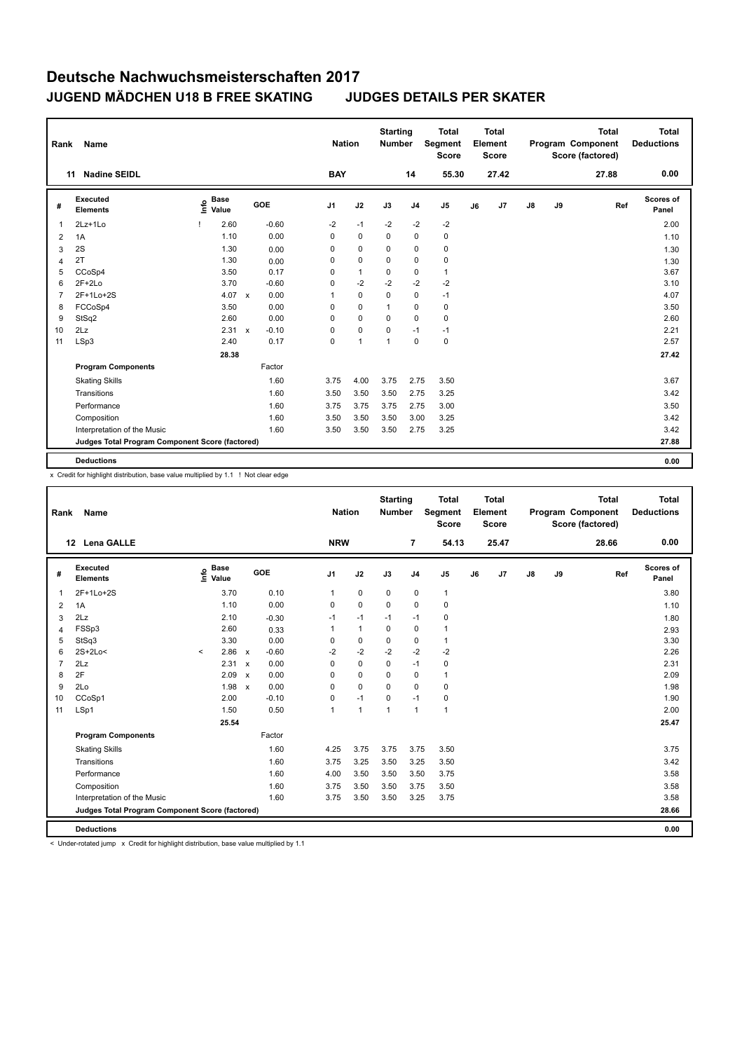| Rank           | Name                                            |                              |                           |         | <b>Nation</b>  |              | <b>Starting</b><br><b>Number</b> |                | <b>Total</b><br>Segment<br><b>Score</b> |    | <b>Total</b><br>Element<br><b>Score</b> |               |    | <b>Total</b><br>Program Component<br>Score (factored) | <b>Total</b><br><b>Deductions</b> |
|----------------|-------------------------------------------------|------------------------------|---------------------------|---------|----------------|--------------|----------------------------------|----------------|-----------------------------------------|----|-----------------------------------------|---------------|----|-------------------------------------------------------|-----------------------------------|
|                | <b>Nadine SEIDL</b><br>11                       |                              |                           |         | <b>BAY</b>     |              |                                  | 14             | 55.30                                   |    | 27.42                                   |               |    | 27.88                                                 | 0.00                              |
| #              | <b>Executed</b><br><b>Elements</b>              | <b>Base</b><br>١nfo<br>Value | GOE                       |         | J <sub>1</sub> | J2           | J3                               | J <sub>4</sub> | J <sub>5</sub>                          | J6 | J7                                      | $\mathsf{J}8$ | J9 | Ref                                                   | Scores of<br>Panel                |
| $\overline{1}$ | 2Lz+1Lo                                         | 2.60                         |                           | $-0.60$ | $-2$           | $-1$         | $-2$                             | $-2$           | $-2$                                    |    |                                         |               |    |                                                       | 2.00                              |
| $\overline{2}$ | 1A                                              | 1.10                         |                           | 0.00    | 0              | $\mathbf 0$  | 0                                | 0              | 0                                       |    |                                         |               |    |                                                       | 1.10                              |
| 3              | 2S                                              | 1.30                         |                           | 0.00    | 0              | $\mathbf 0$  | 0                                | 0              | $\pmb{0}$                               |    |                                         |               |    |                                                       | 1.30                              |
| $\overline{4}$ | 2T                                              | 1.30                         |                           | 0.00    | 0              | $\mathbf 0$  | 0                                | 0              | $\pmb{0}$                               |    |                                         |               |    |                                                       | 1.30                              |
| 5              | CCoSp4                                          | 3.50                         |                           | 0.17    | 0              | $\mathbf{1}$ | $\Omega$                         | $\mathbf 0$    | $\mathbf{1}$                            |    |                                         |               |    |                                                       | 3.67                              |
| 6              | $2F+2Lo$                                        | 3.70                         |                           | $-0.60$ | 0              | $-2$         | $-2$                             | $-2$           | $-2$                                    |    |                                         |               |    |                                                       | 3.10                              |
| $\overline{7}$ | 2F+1Lo+2S                                       | 4.07                         | $\mathsf{x}$              | 0.00    | $\mathbf{1}$   | $\mathbf 0$  | $\Omega$                         | $\mathbf 0$    | $-1$                                    |    |                                         |               |    |                                                       | 4.07                              |
| 8              | FCCoSp4                                         | 3.50                         |                           | 0.00    | 0              | $\mathbf 0$  | $\mathbf{1}$                     | 0              | 0                                       |    |                                         |               |    |                                                       | 3.50                              |
| 9              | StSq2                                           | 2.60                         |                           | 0.00    | 0              | $\mathbf 0$  | 0                                | 0              | $\mathbf 0$                             |    |                                         |               |    |                                                       | 2.60                              |
| 10             | 2Lz                                             | 2.31                         | $\boldsymbol{\mathsf{x}}$ | $-0.10$ | 0              | $\mathbf 0$  | $\Omega$                         | $-1$           | $-1$                                    |    |                                         |               |    |                                                       | 2.21                              |
| 11             | LSp3                                            | 2.40                         |                           | 0.17    | 0              | 1            | $\mathbf{1}$                     | $\mathbf 0$    | $\mathbf 0$                             |    |                                         |               |    |                                                       | 2.57                              |
|                |                                                 | 28.38                        |                           |         |                |              |                                  |                |                                         |    |                                         |               |    |                                                       | 27.42                             |
|                | <b>Program Components</b>                       |                              |                           | Factor  |                |              |                                  |                |                                         |    |                                         |               |    |                                                       |                                   |
|                | <b>Skating Skills</b>                           |                              |                           | 1.60    | 3.75           | 4.00         | 3.75                             | 2.75           | 3.50                                    |    |                                         |               |    |                                                       | 3.67                              |
|                | Transitions                                     |                              |                           | 1.60    | 3.50           | 3.50         | 3.50                             | 2.75           | 3.25                                    |    |                                         |               |    |                                                       | 3.42                              |
|                | Performance                                     |                              |                           | 1.60    | 3.75           | 3.75         | 3.75                             | 2.75           | 3.00                                    |    |                                         |               |    |                                                       | 3.50                              |
|                | Composition                                     |                              |                           | 1.60    | 3.50           | 3.50         | 3.50                             | 3.00           | 3.25                                    |    |                                         |               |    |                                                       | 3.42                              |
|                | Interpretation of the Music                     |                              |                           | 1.60    | 3.50           | 3.50         | 3.50                             | 2.75           | 3.25                                    |    |                                         |               |    |                                                       | 3.42                              |
|                | Judges Total Program Component Score (factored) |                              |                           |         |                |              |                                  |                |                                         |    |                                         |               |    |                                                       | 27.88                             |
|                | <b>Deductions</b>                               |                              |                           |         |                |              |                                  |                |                                         |    |                                         |               |    |                                                       | 0.00                              |

x Credit for highlight distribution, base value multiplied by 1.1 ! Not clear edge

| Rank           | Name                                            |         |                      |                           |         | <b>Nation</b> |              | <b>Starting</b><br><b>Number</b> |                | <b>Total</b><br>Segment<br><b>Score</b> |    | <b>Total</b><br>Element<br><b>Score</b> |    |    | <b>Total</b><br>Program Component<br>Score (factored) | <b>Total</b><br><b>Deductions</b> |
|----------------|-------------------------------------------------|---------|----------------------|---------------------------|---------|---------------|--------------|----------------------------------|----------------|-----------------------------------------|----|-----------------------------------------|----|----|-------------------------------------------------------|-----------------------------------|
|                | <b>Lena GALLE</b><br>12 <sup>12</sup>           |         |                      |                           |         | <b>NRW</b>    |              |                                  | $\overline{7}$ | 54.13                                   |    | 25.47                                   |    |    | 28.66                                                 | 0.00                              |
| #              | Executed<br><b>Elements</b>                     | ١nf٥    | <b>Base</b><br>Value |                           | GOE     | J1            | J2           | J3                               | J <sub>4</sub> | J <sub>5</sub>                          | J6 | J7                                      | J8 | J9 | Ref                                                   | <b>Scores of</b><br>Panel         |
| 1              | 2F+1Lo+2S                                       |         | 3.70                 |                           | 0.10    | $\mathbf{1}$  | $\mathbf 0$  | 0                                | $\mathbf 0$    | $\mathbf{1}$                            |    |                                         |    |    |                                                       | 3.80                              |
| 2              | 1A                                              |         | 1.10                 |                           | 0.00    | $\Omega$      | $\mathbf 0$  | $\Omega$                         | $\mathbf 0$    | 0                                       |    |                                         |    |    |                                                       | 1.10                              |
| 3              | 2Lz                                             |         | 2.10                 |                           | $-0.30$ | $-1$          | $-1$         | $-1$                             | $-1$           | 0                                       |    |                                         |    |    |                                                       | 1.80                              |
| $\overline{4}$ | FSSp3                                           |         | 2.60                 |                           | 0.33    | $\mathbf{1}$  | $\mathbf{1}$ | 0                                | $\mathbf 0$    | $\mathbf{1}$                            |    |                                         |    |    |                                                       | 2.93                              |
| 5              | StSq3                                           |         | 3.30                 |                           | 0.00    | 0             | $\pmb{0}$    | $\mathbf 0$                      | 0              | $\mathbf{1}$                            |    |                                         |    |    |                                                       | 3.30                              |
| 6              | $2S+2Lo<$                                       | $\prec$ | 2.86                 | $\mathsf{x}$              | $-0.60$ | $-2$          | $-2$         | $-2$                             | $-2$           | $-2$                                    |    |                                         |    |    |                                                       | 2.26                              |
| $\overline{7}$ | 2Lz                                             |         | 2.31                 | $\boldsymbol{\mathsf{x}}$ | 0.00    | 0             | $\mathbf 0$  | $\mathbf 0$                      | $-1$           | 0                                       |    |                                         |    |    |                                                       | 2.31                              |
| 8              | 2F                                              |         | 2.09                 | $\mathsf{x}$              | 0.00    | $\Omega$      | $\Omega$     | $\Omega$                         | $\mathbf 0$    | $\mathbf{1}$                            |    |                                         |    |    |                                                       | 2.09                              |
| 9              | 2Lo                                             |         | 1.98                 | $\mathsf{x}$              | 0.00    | $\Omega$      | $\mathbf 0$  | $\mathbf 0$                      | $\mathbf 0$    | $\mathbf 0$                             |    |                                         |    |    |                                                       | 1.98                              |
| 10             | CCoSp1                                          |         | 2.00                 |                           | $-0.10$ | 0             | $-1$         | 0                                | $-1$           | 0                                       |    |                                         |    |    |                                                       | 1.90                              |
| 11             | LSp1                                            |         | 1.50                 |                           | 0.50    | $\mathbf{1}$  | $\mathbf{1}$ | 1                                | $\mathbf{1}$   | $\mathbf{1}$                            |    |                                         |    |    |                                                       | 2.00                              |
|                |                                                 |         | 25.54                |                           |         |               |              |                                  |                |                                         |    |                                         |    |    |                                                       | 25.47                             |
|                | <b>Program Components</b>                       |         |                      |                           | Factor  |               |              |                                  |                |                                         |    |                                         |    |    |                                                       |                                   |
|                | <b>Skating Skills</b>                           |         |                      |                           | 1.60    | 4.25          | 3.75         | 3.75                             | 3.75           | 3.50                                    |    |                                         |    |    |                                                       | 3.75                              |
|                | Transitions                                     |         |                      |                           | 1.60    | 3.75          | 3.25         | 3.50                             | 3.25           | 3.50                                    |    |                                         |    |    |                                                       | 3.42                              |
|                | Performance                                     |         |                      |                           | 1.60    | 4.00          | 3.50         | 3.50                             | 3.50           | 3.75                                    |    |                                         |    |    |                                                       | 3.58                              |
|                | Composition                                     |         |                      |                           | 1.60    | 3.75          | 3.50         | 3.50                             | 3.75           | 3.50                                    |    |                                         |    |    |                                                       | 3.58                              |
|                | Interpretation of the Music                     |         |                      |                           | 1.60    | 3.75          | 3.50         | 3.50                             | 3.25           | 3.75                                    |    |                                         |    |    |                                                       | 3.58                              |
|                | Judges Total Program Component Score (factored) |         |                      |                           |         |               |              |                                  |                |                                         |    |                                         |    |    |                                                       | 28.66                             |
|                | <b>Deductions</b>                               |         |                      |                           |         |               |              |                                  |                |                                         |    |                                         |    |    |                                                       | 0.00                              |

< Under-rotated jump x Credit for highlight distribution, base value multiplied by 1.1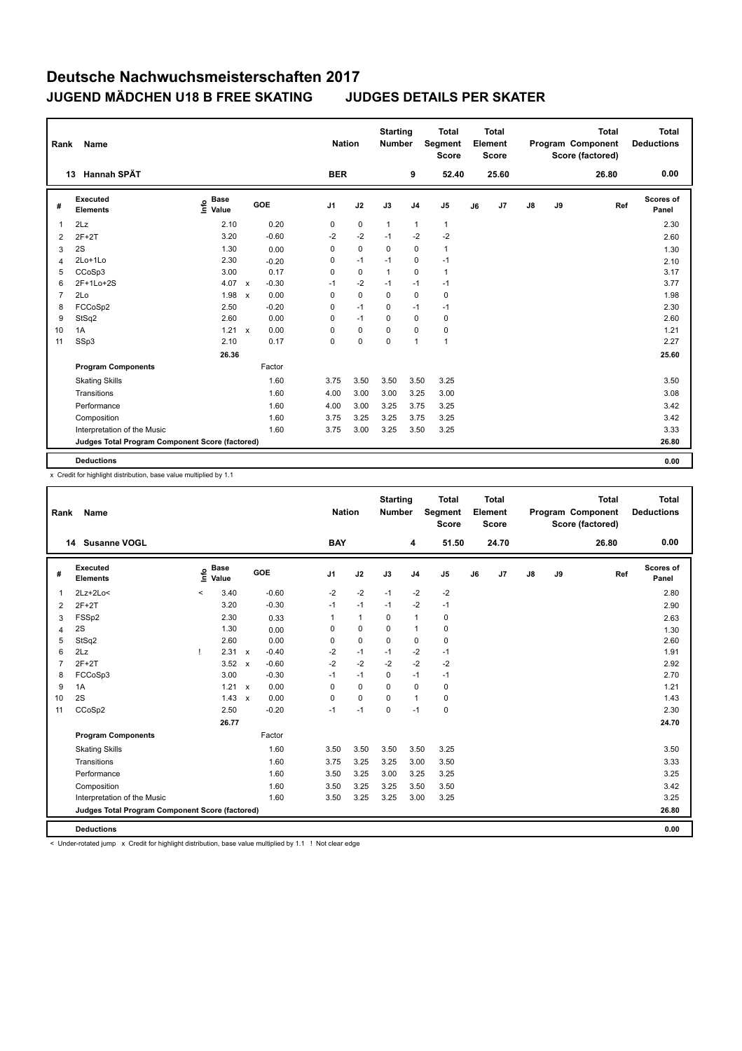| Rank           | <b>Name</b>                                     |                              |                           |         |                | <b>Nation</b> |             | <b>Starting</b><br><b>Number</b> |                | <b>Total</b><br>Segment<br><b>Score</b> |    | Total<br>Element<br><b>Score</b> |               |    | <b>Total</b><br>Program Component<br>Score (factored) | <b>Total</b><br><b>Deductions</b> |
|----------------|-------------------------------------------------|------------------------------|---------------------------|---------|----------------|---------------|-------------|----------------------------------|----------------|-----------------------------------------|----|----------------------------------|---------------|----|-------------------------------------------------------|-----------------------------------|
|                | Hannah SPÄT<br>13                               |                              |                           |         |                | <b>BER</b>    |             |                                  | 9              | 52.40                                   |    | 25.60                            |               |    | 26.80                                                 | 0.00                              |
| #              | Executed<br><b>Elements</b>                     | <b>Base</b><br>lnfo<br>Value |                           | GOE     | J <sub>1</sub> |               | J2          | J3                               | J <sub>4</sub> | J <sub>5</sub>                          | J6 | J7                               | $\mathsf{J}8$ | J9 | Ref                                                   | <b>Scores of</b><br>Panel         |
| $\overline{1}$ | 2Lz                                             | 2.10                         |                           | 0.20    | 0              |               | $\mathbf 0$ | $\mathbf{1}$                     | $\overline{1}$ | $\mathbf{1}$                            |    |                                  |               |    |                                                       | 2.30                              |
| 2              | $2F+2T$                                         | 3.20                         |                           | $-0.60$ | $-2$           |               | $-2$        | $-1$                             | $-2$           | $-2$                                    |    |                                  |               |    |                                                       | 2.60                              |
| 3              | 2S                                              | 1.30                         |                           | 0.00    | 0              |               | $\mathbf 0$ | $\Omega$                         | 0              | $\mathbf{1}$                            |    |                                  |               |    |                                                       | 1.30                              |
| $\overline{4}$ | $2Lo+1Lo$                                       | 2.30                         |                           | $-0.20$ | 0              |               | $-1$        | $-1$                             | 0              | $-1$                                    |    |                                  |               |    |                                                       | 2.10                              |
| 5              | CCoSp3                                          | 3.00                         |                           | 0.17    | 0              |               | $\mathbf 0$ | $\overline{1}$                   | $\Omega$       | $\mathbf{1}$                            |    |                                  |               |    |                                                       | 3.17                              |
| 6              | 2F+1Lo+2S                                       | 4.07                         | $\mathsf{x}$              | $-0.30$ | $-1$           |               | $-2$        | $-1$                             | $-1$           | $-1$                                    |    |                                  |               |    |                                                       | 3.77                              |
| $\overline{7}$ | 2Lo                                             | 1.98                         | $\boldsymbol{\mathsf{x}}$ | 0.00    | 0              |               | $\mathbf 0$ | $\mathbf 0$                      | $\mathbf 0$    | 0                                       |    |                                  |               |    |                                                       | 1.98                              |
| 8              | FCCoSp2                                         | 2.50                         |                           | $-0.20$ | 0              |               | $-1$        | $\Omega$                         | $-1$           | $-1$                                    |    |                                  |               |    |                                                       | 2.30                              |
| 9              | StSq2                                           | 2.60                         |                           | 0.00    | 0              |               | $-1$        | $\Omega$                         | $\mathbf 0$    | $\mathbf 0$                             |    |                                  |               |    |                                                       | 2.60                              |
| 10             | 1A                                              | 1.21                         | $\mathbf{x}$              | 0.00    | $\Omega$       |               | $\mathbf 0$ | $\Omega$                         | $\mathbf 0$    | $\pmb{0}$                               |    |                                  |               |    |                                                       | 1.21                              |
| 11             | SSp3                                            | 2.10                         |                           | 0.17    | 0              |               | $\mathbf 0$ | 0                                | $\overline{1}$ | $\overline{1}$                          |    |                                  |               |    |                                                       | 2.27                              |
|                |                                                 | 26.36                        |                           |         |                |               |             |                                  |                |                                         |    |                                  |               |    |                                                       | 25.60                             |
|                | <b>Program Components</b>                       |                              |                           | Factor  |                |               |             |                                  |                |                                         |    |                                  |               |    |                                                       |                                   |
|                | <b>Skating Skills</b>                           |                              |                           | 1.60    | 3.75           |               | 3.50        | 3.50                             | 3.50           | 3.25                                    |    |                                  |               |    |                                                       | 3.50                              |
|                | Transitions                                     |                              |                           | 1.60    | 4.00           |               | 3.00        | 3.00                             | 3.25           | 3.00                                    |    |                                  |               |    |                                                       | 3.08                              |
|                | Performance                                     |                              |                           | 1.60    | 4.00           |               | 3.00        | 3.25                             | 3.75           | 3.25                                    |    |                                  |               |    |                                                       | 3.42                              |
|                | Composition                                     |                              |                           | 1.60    | 3.75           |               | 3.25        | 3.25                             | 3.75           | 3.25                                    |    |                                  |               |    |                                                       | 3.42                              |
|                | Interpretation of the Music                     |                              |                           | 1.60    |                | 3.75          | 3.00        | 3.25                             | 3.50           | 3.25                                    |    |                                  |               |    |                                                       | 3.33                              |
|                | Judges Total Program Component Score (factored) |                              |                           |         |                |               |             |                                  |                |                                         |    |                                  |               |    |                                                       | 26.80                             |
|                | <b>Deductions</b>                               |                              |                           |         |                |               |             |                                  |                |                                         |    |                                  |               |    |                                                       | 0.00                              |

x Credit for highlight distribution, base value multiplied by 1.1

| Rank           | Name                                            |         |                      |              |         |                | <b>Nation</b> | <b>Starting</b><br><b>Number</b> |                | <b>Total</b><br>Segment<br>Score |    | <b>Total</b><br>Element<br><b>Score</b> |               |    | <b>Total</b><br>Program Component<br>Score (factored) | <b>Total</b><br><b>Deductions</b> |
|----------------|-------------------------------------------------|---------|----------------------|--------------|---------|----------------|---------------|----------------------------------|----------------|----------------------------------|----|-----------------------------------------|---------------|----|-------------------------------------------------------|-----------------------------------|
|                | 14 Susanne VOGL                                 |         |                      |              |         | <b>BAY</b>     |               |                                  | 4              | 51.50                            |    | 24.70                                   |               |    | 26.80                                                 | 0.00                              |
| #              | Executed<br><b>Elements</b>                     | ١nf٥    | <b>Base</b><br>Value |              | GOE     | J <sub>1</sub> | J2            | J3                               | J <sub>4</sub> | J <sub>5</sub>                   | J6 | J7                                      | $\mathsf{J}8$ | J9 | Ref                                                   | <b>Scores of</b><br>Panel         |
| 1              | $2Lz+2Lo<$                                      | $\prec$ | 3.40                 |              | $-0.60$ | $-2$           | $-2$          | $-1$                             | $-2$           | $-2$                             |    |                                         |               |    |                                                       | 2.80                              |
| 2              | $2F+2T$                                         |         | 3.20                 |              | $-0.30$ | $-1$           | $-1$          | $-1$                             | $-2$           | $-1$                             |    |                                         |               |    |                                                       | 2.90                              |
| 3              | FSSp2                                           |         | 2.30                 |              | 0.33    | 1              | $\mathbf{1}$  | $\mathbf 0$                      | $\mathbf{1}$   | 0                                |    |                                         |               |    |                                                       | 2.63                              |
| 4              | 2S                                              |         | 1.30                 |              | 0.00    | 0              | $\mathbf 0$   | $\Omega$                         | $\mathbf{1}$   | 0                                |    |                                         |               |    |                                                       | 1.30                              |
| 5              | StSq2                                           |         | 2.60                 |              | 0.00    | 0              | $\mathbf 0$   | $\mathbf 0$                      | $\mathbf 0$    | 0                                |    |                                         |               |    |                                                       | 2.60                              |
| 6              | 2Lz                                             |         | 2.31 x               |              | $-0.40$ | $-2$           | $-1$          | $-1$                             | $-2$           | $-1$                             |    |                                         |               |    |                                                       | 1.91                              |
| $\overline{7}$ | $2F+2T$                                         |         | 3.52                 | $\mathsf{x}$ | $-0.60$ | $-2$           | $-2$          | $-2$                             | $-2$           | $-2$                             |    |                                         |               |    |                                                       | 2.92                              |
| 8              | FCCoSp3                                         |         | 3.00                 |              | $-0.30$ | $-1$           | $-1$          | $\mathbf 0$                      | $-1$           | $-1$                             |    |                                         |               |    |                                                       | 2.70                              |
| 9              | 1A                                              |         | 1.21 x               |              | 0.00    | 0              | $\mathbf 0$   | $\mathbf 0$                      | $\mathbf 0$    | $\mathbf 0$                      |    |                                         |               |    |                                                       | 1.21                              |
| 10             | 2S                                              |         | 1.43                 | $\mathsf{x}$ | 0.00    | 0              | $\mathbf 0$   | $\Omega$                         | $\overline{1}$ | $\mathbf 0$                      |    |                                         |               |    |                                                       | 1.43                              |
| 11             | CCoSp2                                          |         | 2.50                 |              | $-0.20$ | $-1$           | $-1$          | $\mathbf 0$                      | $-1$           | $\mathbf 0$                      |    |                                         |               |    |                                                       | 2.30                              |
|                |                                                 |         | 26.77                |              |         |                |               |                                  |                |                                  |    |                                         |               |    |                                                       | 24.70                             |
|                | <b>Program Components</b>                       |         |                      |              | Factor  |                |               |                                  |                |                                  |    |                                         |               |    |                                                       |                                   |
|                | <b>Skating Skills</b>                           |         |                      |              | 1.60    | 3.50           | 3.50          | 3.50                             | 3.50           | 3.25                             |    |                                         |               |    |                                                       | 3.50                              |
|                | Transitions                                     |         |                      |              | 1.60    | 3.75           | 3.25          | 3.25                             | 3.00           | 3.50                             |    |                                         |               |    |                                                       | 3.33                              |
|                | Performance                                     |         |                      |              | 1.60    | 3.50           | 3.25          | 3.00                             | 3.25           | 3.25                             |    |                                         |               |    |                                                       | 3.25                              |
|                | Composition                                     |         |                      |              | 1.60    | 3.50           | 3.25          | 3.25                             | 3.50           | 3.50                             |    |                                         |               |    |                                                       | 3.42                              |
|                | Interpretation of the Music                     |         |                      |              | 1.60    | 3.50           | 3.25          | 3.25                             | 3.00           | 3.25                             |    |                                         |               |    |                                                       | 3.25                              |
|                | Judges Total Program Component Score (factored) |         |                      |              |         |                |               |                                  |                |                                  |    |                                         |               |    |                                                       | 26.80                             |
|                | <b>Deductions</b>                               |         |                      |              |         |                |               |                                  |                |                                  |    |                                         |               |    |                                                       | 0.00                              |

< Under-rotated jump x Credit for highlight distribution, base value multiplied by 1.1 ! Not clear edge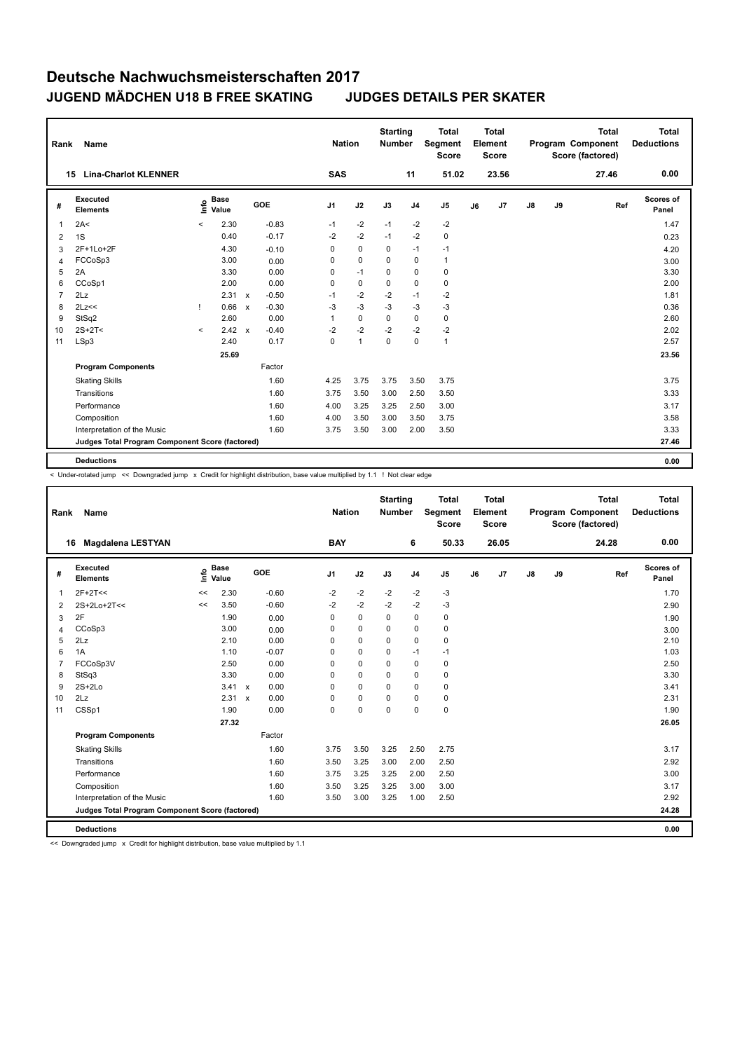| Rank           | <b>Name</b>                                     |                          |                      |              |         |              | <b>Nation</b> |              | <b>Starting</b><br><b>Number</b> |                | <b>Total</b><br>Segment<br><b>Score</b> |    | <b>Total</b><br>Element<br><b>Score</b> |    |    | <b>Total</b><br>Program Component<br>Score (factored) | <b>Total</b><br><b>Deductions</b> |
|----------------|-------------------------------------------------|--------------------------|----------------------|--------------|---------|--------------|---------------|--------------|----------------------------------|----------------|-----------------------------------------|----|-----------------------------------------|----|----|-------------------------------------------------------|-----------------------------------|
|                | <b>Lina-Charlot KLENNER</b><br>15               |                          |                      |              |         | SAS          |               |              |                                  | 11             | 51.02                                   |    | 23.56                                   |    |    | 27.46                                                 | 0.00                              |
| #              | <b>Executed</b><br><b>Elements</b>              | ١nf٥                     | <b>Base</b><br>Value |              | GOE     | J1           |               | J2           | J3                               | J <sub>4</sub> | J5                                      | J6 | J7                                      | J8 | J9 | Ref                                                   | Scores of<br>Panel                |
|                | 2A<                                             | $\overline{\phantom{a}}$ | 2.30                 |              | $-0.83$ | $-1$         |               | $-2$         | $-1$                             | $-2$           | $-2$                                    |    |                                         |    |    |                                                       | 1.47                              |
| 2              | 1S                                              |                          | 0.40                 |              | $-0.17$ | $-2$         |               | $-2$         | $-1$                             | $-2$           | 0                                       |    |                                         |    |    |                                                       | 0.23                              |
| 3              | 2F+1Lo+2F                                       |                          | 4.30                 |              | $-0.10$ | 0            |               | $\mathbf 0$  | $\mathbf 0$                      | $-1$           | $-1$                                    |    |                                         |    |    |                                                       | 4.20                              |
| $\overline{4}$ | FCCoSp3                                         |                          | 3.00                 |              | 0.00    | 0            |               | $\mathbf 0$  | $\Omega$                         | 0              | $\mathbf{1}$                            |    |                                         |    |    |                                                       | 3.00                              |
| 5              | 2A                                              |                          | 3.30                 |              | 0.00    | 0            |               | $-1$         | $\mathbf 0$                      | $\Omega$       | 0                                       |    |                                         |    |    |                                                       | 3.30                              |
| 6              | CCoSp1                                          |                          | 2.00                 |              | 0.00    | $\Omega$     |               | $\mathbf 0$  | $\mathbf 0$                      | $\Omega$       | 0                                       |    |                                         |    |    |                                                       | 2.00                              |
|                | 2Lz                                             |                          | 2.31                 | $\mathsf{x}$ | $-0.50$ | $-1$         |               | $-2$         | $-2$                             | $-1$           | $-2$                                    |    |                                         |    |    |                                                       | 1.81                              |
| 8              | 2Lz<<                                           | Ţ.                       | 0.66                 | $\mathsf{x}$ | $-0.30$ | $-3$         |               | $-3$         | $-3$                             | $-3$           | $-3$                                    |    |                                         |    |    |                                                       | 0.36                              |
| 9              | StSq2                                           |                          | 2.60                 |              | 0.00    | $\mathbf{1}$ |               | $\pmb{0}$    | $\mathbf 0$                      | 0              | 0                                       |    |                                         |    |    |                                                       | 2.60                              |
| 10             | $2S+2T<$                                        | $\prec$                  | $2.42 \times$        |              | $-0.40$ | $-2$         |               | $-2$         | $-2$                             | $-2$           | $-2$                                    |    |                                         |    |    |                                                       | 2.02                              |
| 11             | LSp3                                            |                          | 2.40                 |              | 0.17    | $\mathbf 0$  |               | $\mathbf{1}$ | $\mathbf 0$                      | 0              | $\mathbf{1}$                            |    |                                         |    |    |                                                       | 2.57                              |
|                |                                                 |                          | 25.69                |              |         |              |               |              |                                  |                |                                         |    |                                         |    |    |                                                       | 23.56                             |
|                | <b>Program Components</b>                       |                          |                      |              | Factor  |              |               |              |                                  |                |                                         |    |                                         |    |    |                                                       |                                   |
|                | <b>Skating Skills</b>                           |                          |                      |              | 1.60    | 4.25         |               | 3.75         | 3.75                             | 3.50           | 3.75                                    |    |                                         |    |    |                                                       | 3.75                              |
|                | Transitions                                     |                          |                      |              | 1.60    | 3.75         |               | 3.50         | 3.00                             | 2.50           | 3.50                                    |    |                                         |    |    |                                                       | 3.33                              |
|                | Performance                                     |                          |                      |              | 1.60    | 4.00         |               | 3.25         | 3.25                             | 2.50           | 3.00                                    |    |                                         |    |    |                                                       | 3.17                              |
|                | Composition                                     |                          |                      |              | 1.60    | 4.00         |               | 3.50         | 3.00                             | 3.50           | 3.75                                    |    |                                         |    |    |                                                       | 3.58                              |
|                | Interpretation of the Music                     |                          |                      |              | 1.60    | 3.75         |               | 3.50         | 3.00                             | 2.00           | 3.50                                    |    |                                         |    |    |                                                       | 3.33                              |
|                | Judges Total Program Component Score (factored) |                          |                      |              |         |              |               |              |                                  |                |                                         |    |                                         |    |    |                                                       | 27.46                             |
|                | <b>Deductions</b>                               |                          |                      |              |         |              |               |              |                                  |                |                                         |    |                                         |    |    |                                                       | 0.00                              |

< Under-rotated jump << Downgraded jump x Credit for highlight distribution, base value multiplied by 1.1 ! Not clear edge

| Rank           | Name                                            |    |                      |              |         |                | <b>Nation</b> |             | <b>Starting</b><br><b>Number</b> |                | <b>Total</b><br>Segment<br><b>Score</b> |    | <b>Total</b><br>Element<br><b>Score</b> |               |    | <b>Total</b><br>Program Component<br>Score (factored) | <b>Total</b><br><b>Deductions</b> |
|----------------|-------------------------------------------------|----|----------------------|--------------|---------|----------------|---------------|-------------|----------------------------------|----------------|-----------------------------------------|----|-----------------------------------------|---------------|----|-------------------------------------------------------|-----------------------------------|
|                | <b>Magdalena LESTYAN</b><br>16                  |    |                      |              |         | <b>BAY</b>     |               |             |                                  | 6              | 50.33                                   |    | 26.05                                   |               |    | 24.28                                                 | 0.00                              |
| #              | <b>Executed</b><br><b>Elements</b>              | ١m | <b>Base</b><br>Value |              | GOE     | J <sub>1</sub> |               | J2          | J3                               | J <sub>4</sub> | J <sub>5</sub>                          | J6 | J7                                      | $\mathsf{J}8$ | J9 | Ref                                                   | Scores of<br>Panel                |
| 1              | $2F+2T<<$                                       | << | 2.30                 |              | $-0.60$ | $-2$           |               | $-2$        | $-2$                             | $-2$           | $-3$                                    |    |                                         |               |    |                                                       | 1.70                              |
| 2              | 2S+2Lo+2T<<                                     | << | 3.50                 |              | $-0.60$ | -2             |               | $-2$        | $-2$                             | $-2$           | -3                                      |    |                                         |               |    |                                                       | 2.90                              |
| 3              | 2F                                              |    | 1.90                 |              | 0.00    | 0              |               | $\mathbf 0$ | $\mathbf 0$                      | $\mathbf 0$    | $\pmb{0}$                               |    |                                         |               |    |                                                       | 1.90                              |
| $\overline{4}$ | CCoSp3                                          |    | 3.00                 |              | 0.00    | 0              |               | $\mathbf 0$ | $\mathbf 0$                      | $\mathbf 0$    | $\pmb{0}$                               |    |                                         |               |    |                                                       | 3.00                              |
| 5              | 2Lz                                             |    | 2.10                 |              | 0.00    | 0              |               | $\mathbf 0$ | $\mathbf 0$                      | $\mathbf 0$    | $\pmb{0}$                               |    |                                         |               |    |                                                       | 2.10                              |
| 6              | 1A                                              |    | 1.10                 |              | $-0.07$ | 0              |               | 0           | $\Omega$                         | $-1$           | $-1$                                    |    |                                         |               |    |                                                       | 1.03                              |
| $\overline{7}$ | FCCoSp3V                                        |    | 2.50                 |              | 0.00    | 0              |               | 0           | 0                                | 0              | 0                                       |    |                                         |               |    |                                                       | 2.50                              |
| 8              | StSq3                                           |    | 3.30                 |              | 0.00    | 0              |               | 0           | $\Omega$                         | 0              | 0                                       |    |                                         |               |    |                                                       | 3.30                              |
| 9              | $2S+2Lo$                                        |    | 3.41                 | $\mathsf{x}$ | 0.00    | 0              |               | 0           | 0                                | $\Omega$       | 0                                       |    |                                         |               |    |                                                       | 3.41                              |
| 10             | 2Lz                                             |    | 2.31                 | $\mathbf x$  | 0.00    | 0              |               | 0           | 0                                | 0              | 0                                       |    |                                         |               |    |                                                       | 2.31                              |
| 11             | CSSp1                                           |    | 1.90                 |              | 0.00    | 0              |               | 0           | 0                                | 0              | $\mathbf 0$                             |    |                                         |               |    |                                                       | 1.90                              |
|                |                                                 |    | 27.32                |              |         |                |               |             |                                  |                |                                         |    |                                         |               |    |                                                       | 26.05                             |
|                | <b>Program Components</b>                       |    |                      |              | Factor  |                |               |             |                                  |                |                                         |    |                                         |               |    |                                                       |                                   |
|                | <b>Skating Skills</b>                           |    |                      |              | 1.60    | 3.75           |               | 3.50        | 3.25                             | 2.50           | 2.75                                    |    |                                         |               |    |                                                       | 3.17                              |
|                | Transitions                                     |    |                      |              | 1.60    | 3.50           |               | 3.25        | 3.00                             | 2.00           | 2.50                                    |    |                                         |               |    |                                                       | 2.92                              |
|                | Performance                                     |    |                      |              | 1.60    | 3.75           |               | 3.25        | 3.25                             | 2.00           | 2.50                                    |    |                                         |               |    |                                                       | 3.00                              |
|                | Composition                                     |    |                      |              | 1.60    | 3.50           |               | 3.25        | 3.25                             | 3.00           | 3.00                                    |    |                                         |               |    |                                                       | 3.17                              |
|                | Interpretation of the Music                     |    |                      |              | 1.60    | 3.50           |               | 3.00        | 3.25                             | 1.00           | 2.50                                    |    |                                         |               |    |                                                       | 2.92                              |
|                | Judges Total Program Component Score (factored) |    |                      |              |         |                |               |             |                                  |                |                                         |    |                                         |               |    |                                                       | 24.28                             |
|                | <b>Deductions</b>                               |    |                      |              |         |                |               |             |                                  |                |                                         |    |                                         |               |    |                                                       | 0.00                              |

<< Downgraded jump x Credit for highlight distribution, base value multiplied by 1.1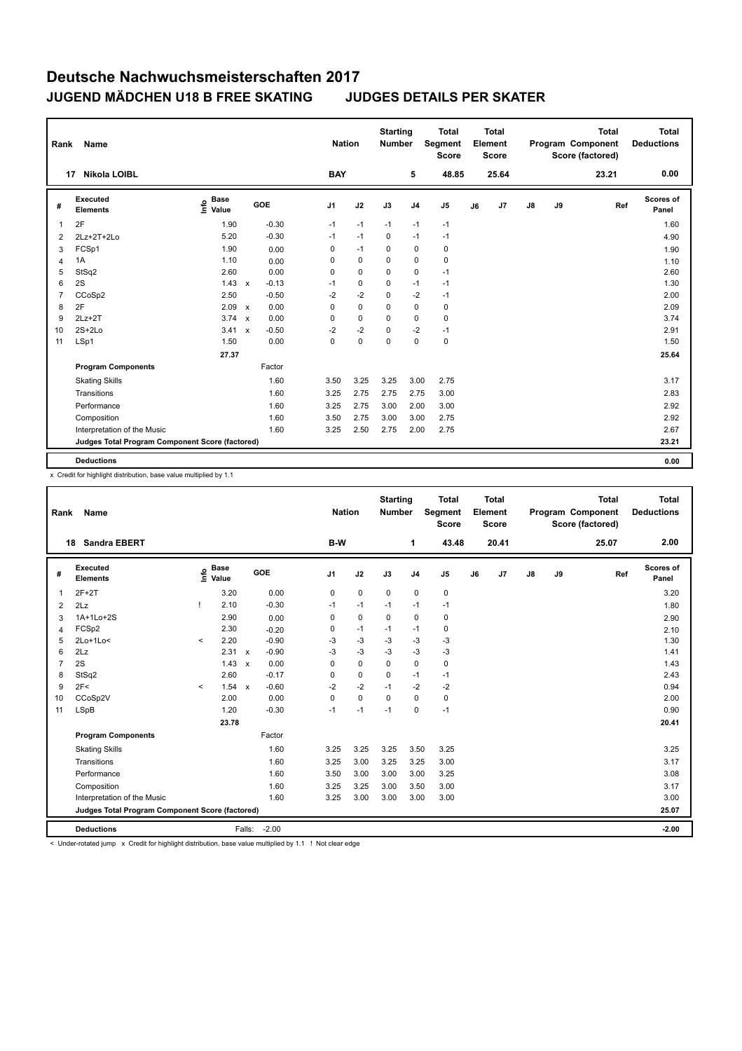| Rank           | Name                                            |                           |                           |         |                | <b>Nation</b> |             | <b>Starting</b><br><b>Number</b> | <b>Total</b><br>Segment<br><b>Score</b> |    | <b>Total</b><br>Element<br><b>Score</b> |    |    | <b>Total</b><br>Program Component<br>Score (factored) | <b>Total</b><br><b>Deductions</b> |
|----------------|-------------------------------------------------|---------------------------|---------------------------|---------|----------------|---------------|-------------|----------------------------------|-----------------------------------------|----|-----------------------------------------|----|----|-------------------------------------------------------|-----------------------------------|
|                | Nikola LOIBL<br>17                              |                           |                           |         | <b>BAY</b>     |               |             | 5                                | 48.85                                   |    | 25.64                                   |    |    | 23.21                                                 | 0.00                              |
| #              | <b>Executed</b><br><b>Elements</b>              | <b>Base</b><br>۴<br>Value |                           | GOE     | J <sub>1</sub> | J2            | J3          | J <sub>4</sub>                   | J <sub>5</sub>                          | J6 | J7                                      | J8 | J9 | Ref                                                   | <b>Scores of</b><br>Panel         |
| 1              | 2F                                              | 1.90                      |                           | $-0.30$ | $-1$           | $-1$          | $-1$        | $-1$                             | $-1$                                    |    |                                         |    |    |                                                       | 1.60                              |
| 2              | 2Lz+2T+2Lo                                      | 5.20                      |                           | $-0.30$ | $-1$           | $-1$          | 0           | $-1$                             | $-1$                                    |    |                                         |    |    |                                                       | 4.90                              |
| 3              | FCSp1                                           | 1.90                      |                           | 0.00    | 0              | $-1$          | 0           | $\mathbf 0$                      | $\mathbf 0$                             |    |                                         |    |    |                                                       | 1.90                              |
| 4              | 1A                                              | 1.10                      |                           | 0.00    | 0              | $\mathbf 0$   | $\mathbf 0$ | $\mathbf 0$                      | $\pmb{0}$                               |    |                                         |    |    |                                                       | 1.10                              |
| 5              | StSq2                                           | 2.60                      |                           | 0.00    | 0              | $\mathbf 0$   | $\Omega$    | $\mathbf 0$                      | $-1$                                    |    |                                         |    |    |                                                       | 2.60                              |
| 6              | 2S                                              | 1.43                      | $\mathsf{x}$              | $-0.13$ | $-1$           | 0             | 0           | $-1$                             | $-1$                                    |    |                                         |    |    |                                                       | 1.30                              |
| $\overline{7}$ | CCoSp2                                          | 2.50                      |                           | $-0.50$ | $-2$           | $-2$          | $\Omega$    | $-2$                             | $-1$                                    |    |                                         |    |    |                                                       | 2.00                              |
| 8              | 2F                                              | 2.09                      | X                         | 0.00    | 0              | $\mathbf 0$   | $\mathbf 0$ | $\mathbf 0$                      | $\pmb{0}$                               |    |                                         |    |    |                                                       | 2.09                              |
| 9              | $2Lz+2T$                                        | 3.74                      | $\boldsymbol{\mathsf{x}}$ | 0.00    | 0              | 0             | 0           | 0                                | 0                                       |    |                                         |    |    |                                                       | 3.74                              |
| 10             | $2S+2Lo$                                        | 3.41                      | $\mathsf{x}$              | $-0.50$ | $-2$           | $-2$          | $\Omega$    | $-2$                             | $-1$                                    |    |                                         |    |    |                                                       | 2.91                              |
| 11             | LSp1                                            | 1.50                      |                           | 0.00    | 0              | 0             | $\Omega$    | $\mathbf 0$                      | $\mathbf 0$                             |    |                                         |    |    |                                                       | 1.50                              |
|                |                                                 | 27.37                     |                           |         |                |               |             |                                  |                                         |    |                                         |    |    |                                                       | 25.64                             |
|                | <b>Program Components</b>                       |                           |                           | Factor  |                |               |             |                                  |                                         |    |                                         |    |    |                                                       |                                   |
|                | <b>Skating Skills</b>                           |                           |                           | 1.60    | 3.50           | 3.25          | 3.25        | 3.00                             | 2.75                                    |    |                                         |    |    |                                                       | 3.17                              |
|                | Transitions                                     |                           |                           | 1.60    | 3.25           | 2.75          | 2.75        | 2.75                             | 3.00                                    |    |                                         |    |    |                                                       | 2.83                              |
|                | Performance                                     |                           |                           | 1.60    | 3.25           | 2.75          | 3.00        | 2.00                             | 3.00                                    |    |                                         |    |    |                                                       | 2.92                              |
|                | Composition                                     |                           |                           | 1.60    | 3.50           | 2.75          | 3.00        | 3.00                             | 2.75                                    |    |                                         |    |    |                                                       | 2.92                              |
|                | Interpretation of the Music                     |                           |                           | 1.60    | 3.25           | 2.50          | 2.75        | 2.00                             | 2.75                                    |    |                                         |    |    |                                                       | 2.67                              |
|                | Judges Total Program Component Score (factored) |                           |                           |         |                |               |             |                                  |                                         |    |                                         |    |    |                                                       | 23.21                             |
|                | <b>Deductions</b>                               |                           |                           |         |                |               |             |                                  |                                         |    |                                         |    |    |                                                       | 0.00                              |

x Credit for highlight distribution, base value multiplied by 1.1

| Rank           | <b>Name</b>                                     |         |                      |              |         | <b>Nation</b>  |             | <b>Starting</b><br><b>Number</b> |                | <b>Total</b><br>Segment<br><b>Score</b> |    | <b>Total</b><br>Element<br><b>Score</b> |               |    | <b>Total</b><br>Program Component<br>Score (factored) | <b>Total</b><br><b>Deductions</b> |
|----------------|-------------------------------------------------|---------|----------------------|--------------|---------|----------------|-------------|----------------------------------|----------------|-----------------------------------------|----|-----------------------------------------|---------------|----|-------------------------------------------------------|-----------------------------------|
| 18             | <b>Sandra EBERT</b>                             |         |                      |              |         | B-W            |             |                                  | 1              | 43.48                                   |    | 20.41                                   |               |    | 25.07                                                 | 2.00                              |
| #              | Executed<br><b>Elements</b>                     | ١nf٥    | <b>Base</b><br>Value |              | GOE     | J <sub>1</sub> | J2          | J3                               | J <sub>4</sub> | J <sub>5</sub>                          | J6 | J7                                      | $\mathsf{J}8$ | J9 | Ref                                                   | <b>Scores of</b><br>Panel         |
| 1              | $2F+2T$                                         |         | 3.20                 |              | 0.00    | 0              | $\mathbf 0$ | $\mathbf 0$                      | $\mathbf 0$    | 0                                       |    |                                         |               |    |                                                       | 3.20                              |
| 2              | 2Lz                                             |         | 2.10                 |              | $-0.30$ | $-1$           | $-1$        | $-1$                             | $-1$           | $-1$                                    |    |                                         |               |    |                                                       | 1.80                              |
| 3              | 1A+1Lo+2S                                       |         | 2.90                 |              | 0.00    | 0              | $\mathbf 0$ | $\mathbf 0$                      | $\mathbf 0$    | 0                                       |    |                                         |               |    |                                                       | 2.90                              |
| 4              | FCSp2                                           |         | 2.30                 |              | $-0.20$ | 0              | $-1$        | $-1$                             | $-1$           | $\mathbf 0$                             |    |                                         |               |    |                                                       | 2.10                              |
| 5              | $2Lo+1Lo<$                                      | $\prec$ | 2.20                 |              | $-0.90$ | -3             | $-3$        | $-3$                             | $-3$           | $-3$                                    |    |                                         |               |    |                                                       | 1.30                              |
| 6              | 2Lz                                             |         | 2.31                 | $\mathbf{x}$ | $-0.90$ | $-3$           | $-3$        | $-3$                             | $-3$           | $-3$                                    |    |                                         |               |    |                                                       | 1.41                              |
| $\overline{7}$ | 2S                                              |         | 1.43                 | $\mathbf{x}$ | 0.00    | $\Omega$       | $\mathbf 0$ | $\Omega$                         | $\mathbf 0$    | 0                                       |    |                                         |               |    |                                                       | 1.43                              |
| 8              | StSq2                                           |         | 2.60                 |              | $-0.17$ | 0              | $\mathbf 0$ | $\Omega$                         | $-1$           | $-1$                                    |    |                                         |               |    |                                                       | 2.43                              |
| 9              | 2F<                                             | $\prec$ | 1.54                 | $\mathbf{x}$ | $-0.60$ | $-2$           | $-2$        | $-1$                             | $-2$           | $-2$                                    |    |                                         |               |    |                                                       | 0.94                              |
| 10             | CCoSp2V                                         |         | 2.00                 |              | 0.00    | $\Omega$       | $\Omega$    | $\Omega$                         | $\Omega$       | 0                                       |    |                                         |               |    |                                                       | 2.00                              |
| 11             | <b>LSpB</b>                                     |         | 1.20                 |              | $-0.30$ | $-1$           | $-1$        | $-1$                             | $\mathbf 0$    | $-1$                                    |    |                                         |               |    |                                                       | 0.90                              |
|                |                                                 |         | 23.78                |              |         |                |             |                                  |                |                                         |    |                                         |               |    |                                                       | 20.41                             |
|                | <b>Program Components</b>                       |         |                      |              | Factor  |                |             |                                  |                |                                         |    |                                         |               |    |                                                       |                                   |
|                | <b>Skating Skills</b>                           |         |                      |              | 1.60    | 3.25           | 3.25        | 3.25                             | 3.50           | 3.25                                    |    |                                         |               |    |                                                       | 3.25                              |
|                | Transitions                                     |         |                      |              | 1.60    | 3.25           | 3.00        | 3.25                             | 3.25           | 3.00                                    |    |                                         |               |    |                                                       | 3.17                              |
|                | Performance                                     |         |                      |              | 1.60    | 3.50           | 3.00        | 3.00                             | 3.00           | 3.25                                    |    |                                         |               |    |                                                       | 3.08                              |
|                | Composition                                     |         |                      |              | 1.60    | 3.25           | 3.25        | 3.00                             | 3.50           | 3.00                                    |    |                                         |               |    |                                                       | 3.17                              |
|                | Interpretation of the Music                     |         |                      |              | 1.60    | 3.25           | 3.00        | 3.00                             | 3.00           | 3.00                                    |    |                                         |               |    |                                                       | 3.00                              |
|                | Judges Total Program Component Score (factored) |         |                      |              |         |                |             |                                  |                |                                         |    |                                         |               |    |                                                       | 25.07                             |
|                | <b>Deductions</b>                               |         |                      | Falls:       | $-2.00$ |                |             |                                  |                |                                         |    |                                         |               |    |                                                       | $-2.00$                           |

< Under-rotated jump x Credit for highlight distribution, base value multiplied by 1.1 ! Not clear edge